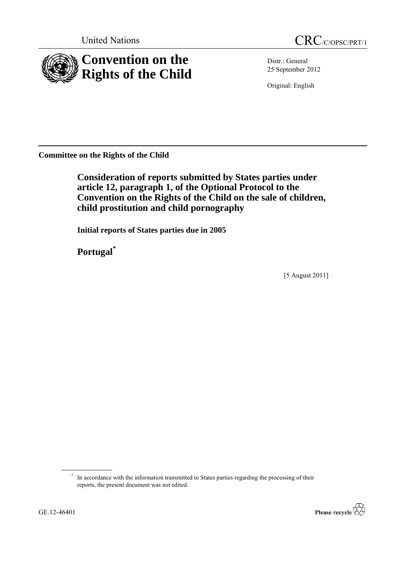

Distr.: General 25 September 2012

Original: English

**Committee on the Rights of the Child**

**Consideration of reports submitted by States parties under article 12, paragraph 1, of the Optional Protocol to the Convention on the Rights of the Child on the sale of children, child prostitution and child pornography**

**Initial reports of States parties due in 2005**

**Portugal\***

[5 August 2011]

<sup>\*</sup> In accordance with the information transmitted to States parties regarding the processing of their reports, the present document was not edited.

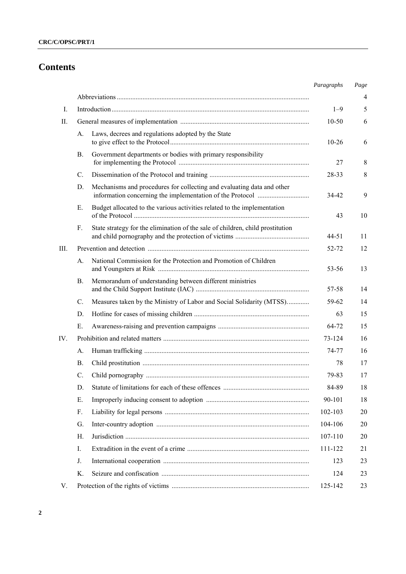# **Contents**

|     |             |                                                                                | Paragraphs | $Page$ |
|-----|-------------|--------------------------------------------------------------------------------|------------|--------|
|     |             |                                                                                |            | 4      |
| I.  |             |                                                                                | $1 - 9$    | 5      |
| П.  |             |                                                                                | $10 - 50$  | 6      |
|     | А.          | Laws, decrees and regulations adopted by the State                             | $10 - 26$  | 6      |
|     | В.          | Government departments or bodies with primary responsibility                   | 27         | 8      |
|     | C.          |                                                                                | 28-33      | 8      |
|     | D.          | Mechanisms and procedures for collecting and evaluating data and other         | 34-42      | 9      |
|     | Е.          | Budget allocated to the various activities related to the implementation       | 43         | 10     |
|     | F.          | State strategy for the elimination of the sale of children, child prostitution | 44-51      | 11     |
| Ш.  |             |                                                                                | 52-72      | 12     |
|     | А.          | National Commission for the Protection and Promotion of Children               | 53-56      | 13     |
|     | <b>B.</b>   | Memorandum of understanding between different ministries                       | 57-58      | 14     |
|     | $C_{\cdot}$ | Measures taken by the Ministry of Labor and Social Solidarity (MTSS)           | 59-62      | 14     |
|     | D.          |                                                                                | 63         | 15     |
|     | Е.          |                                                                                | 64-72      | 15     |
| IV. |             |                                                                                | 73-124     | 16     |
|     | A.          |                                                                                | 74-77      | 16     |
|     | В.          |                                                                                | 78         | 17     |
|     | C.          |                                                                                | 79-83      | 17     |
|     | D.          |                                                                                | 84-89      | 18     |
|     | Е.          |                                                                                | 90-101     | 18     |
|     | F.          |                                                                                | 102-103    | 20     |
|     | G.          |                                                                                | 104-106    | 20     |
|     | Н.          |                                                                                | 107-110    | 20     |
|     | I.          |                                                                                | 111-122    | 21     |
|     | J.          |                                                                                | 123        | 23     |
|     | K.          |                                                                                | 124        | 23     |
| V.  |             |                                                                                | 125-142    | 23     |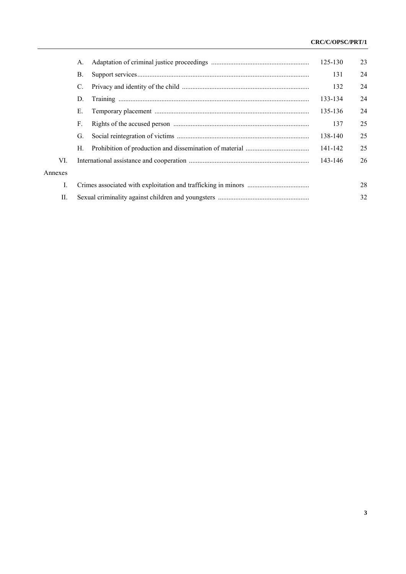## **CRC/C/OPSC/PRT/1**

|         | A. | 125-130 | 23 |
|---------|----|---------|----|
|         | В. | 131     | 24 |
|         | C. | 132     | 24 |
|         | D. | 133-134 | 24 |
|         | Е. | 135-136 | 24 |
|         | F. | 137     | 25 |
|         | G. | 138-140 | 25 |
|         | Н. | 141-142 | 25 |
| VI.     |    | 143-146 | 26 |
| Annexes |    |         |    |
| L       |    |         | 28 |
| П.      |    |         | 32 |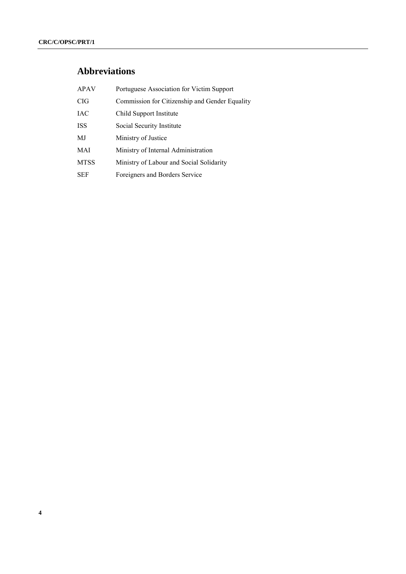# **Abbreviations**

| <b>APAV</b> | Portuguese Association for Victim Support      |
|-------------|------------------------------------------------|
| <b>CIG</b>  | Commission for Citizenship and Gender Equality |
| <b>IAC</b>  | Child Support Institute                        |
| <b>ISS</b>  | Social Security Institute                      |
| MJ          | Ministry of Justice                            |
| MAI         | Ministry of Internal Administration            |
| <b>MTSS</b> | Ministry of Labour and Social Solidarity       |
| <b>SEF</b>  | Foreigners and Borders Service                 |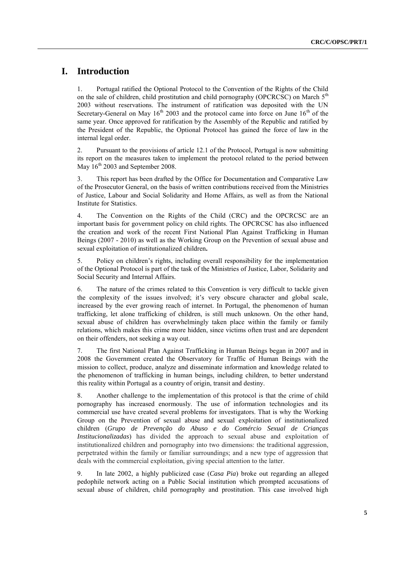## **I. Introduction**

1. Portugal ratified the Optional Protocol to the Convention of the Rights of the Child on the sale of children, child prostitution and child pornography (OPCRCSC) on March  $5<sup>th</sup>$ 2003 without reservations. The instrument of ratification was deposited with the UN Secretary-General on May  $16<sup>th</sup>$  2003 and the protocol came into force on June  $16<sup>th</sup>$  of the same year. Once approved for ratification by the Assembly of the Republic and ratified by the President of the Republic, the Optional Protocol has gained the force of law in the internal legal order.

2. Pursuant to the provisions of article 12.1 of the Protocol, Portugal is now submitting its report on the measures taken to implement the protocol related to the period between May  $16<sup>th</sup>$  2003 and September 2008.

3. This report has been drafted by the Office for Documentation and Comparative Law of the Prosecutor General, on the basis of written contributions received from the Ministries of Justice, Labour and Social Solidarity and Home Affairs, as well as from the National Institute for Statistics.

4. The Convention on the Rights of the Child (CRC) and the OPCRCSC are an important basis for government policy on child rights. The OPCRCSC has also influenced the creation and work of the recent First National Plan Against Trafficking in Human Beings (2007 - 2010) as well as the Working Group on the Prevention of sexual abuse and sexual exploitation of institutionalized children**.**

5. Policy on children's rights, including overall responsibility for the implementation of the Optional Protocol is part of the task of the Ministries of Justice, Labor, Solidarity and Social Security and Internal Affairs.

6. The nature of the crimes related to this Convention is very difficult to tackle given the complexity of the issues involved; it's very obscure character and global scale, increased by the ever growing reach of internet. In Portugal, the phenomenon of human trafficking, let alone trafficking of children, is still much unknown. On the other hand, sexual abuse of children has overwhelmingly taken place within the family or family relations, which makes this crime more hidden, since victims often trust and are dependent on their offenders, not seeking a way out.

7. The first National Plan Against Trafficking in Human Beings began in 2007 and in 2008 the Government created the Observatory for Traffic of Human Beings with the mission to collect, produce, analyze and disseminate information and knowledge related to the phenomenon of trafficking in human beings, including children, to better understand this reality within Portugal as a country of origin, transit and destiny.

8. Another challenge to the implementation of this protocol is that the crime of child pornography has increased enormously. The use of information technologies and its commercial use have created several problems for investigators. That is why the Working Group on the Prevention of sexual abuse and sexual exploitation of institutionalized children (*Grupo de Prevenção do Abuso e do Comércio Sexual de Crianças Institucionalizadas*) has divided the approach to sexual abuse and exploitation of institutionalized children and pornography into two dimensions: the traditional aggression, perpetrated within the family or familiar surroundings; and a new type of aggression that deals with the commercial exploitation, giving special attention to the latter.

9. In late 2002, a highly publicized case (*Casa Pia*) broke out regarding an alleged pedophile network acting on a Public Social institution which prompted accusations of sexual abuse of children, child pornography and prostitution. This case involved high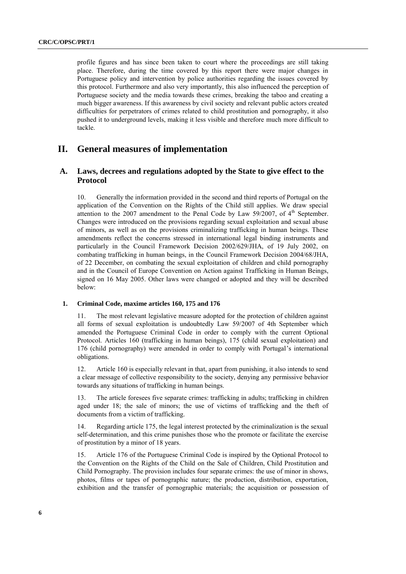profile figures and has since been taken to court where the proceedings are still taking place. Therefore, during the time covered by this report there were major changes in Portuguese policy and intervention by police authorities regarding the issues covered by this protocol. Furthermore and also very importantly, this also influenced the perception of Portuguese society and the media towards these crimes, breaking the taboo and creating a much bigger awareness. If this awareness by civil society and relevant public actors created difficulties for perpetrators of crimes related to child prostitution and pornography, it also pushed it to underground levels, making it less visible and therefore much more difficult to tackle.

## **II. General measures of implementation**

## **A. Laws, decrees and regulations adopted by the State to give effect to the Protocol**

10. Generally the information provided in the second and third reports of Portugal on the application of the Convention on the Rights of the Child still applies. We draw special attention to the 2007 amendment to the Penal Code by Law 59/2007, of  $4<sup>th</sup>$  September. Changes were introduced on the provisions regarding sexual exploitation and sexual abuse of minors, as well as on the provisions criminalizing trafficking in human beings. These amendments reflect the concerns stressed in international legal binding instruments and particularly in the Council Framework Decision 2002/629/JHA, of 19 July 2002, on combating trafficking in human beings, in the Council Framework Decision 2004/68/JHA, of 22 December, on combating the sexual exploitation of children and child pornography and in the Council of Europe Convention on Action against Trafficking in Human Beings, signed on 16 May 2005. Other laws were changed or adopted and they will be described below:

#### **1. Criminal Code, maxime articles 160, 175 and 176**

The most relevant legislative measure adopted for the protection of children against all forms of sexual exploitation is undoubtedly Law 59/2007 of 4th September which amended the Portuguese Criminal Code in order to comply with the current Optional Protocol. Articles 160 (trafficking in human beings), 175 (child sexual exploitation) and 176 (child pornography) were amended in order to comply with Portugal's international obligations.

12. Article 160 is especially relevant in that, apart from punishing, it also intends to send a clear message of collective responsibility to the society, denying any permissive behavior towards any situations of trafficking in human beings.

13. The article foresees five separate crimes: trafficking in adults; trafficking in children aged under 18; the sale of minors; the use of victims of trafficking and the theft of documents from a victim of trafficking.

14. Regarding article 175, the legal interest protected by the criminalization is the sexual self-determination, and this crime punishes those who the promote or facilitate the exercise of prostitution by a minor of 18 years.

15. Article 176 of the Portuguese Criminal Code is inspired by the Optional Protocol to the Convention on the Rights of the Child on the Sale of Children, Child Prostitution and Child Pornography. The provision includes four separate crimes: the use of minor in shows, photos, films or tapes of pornographic nature; the production, distribution, exportation, exhibition and the transfer of pornographic materials; the acquisition or possession of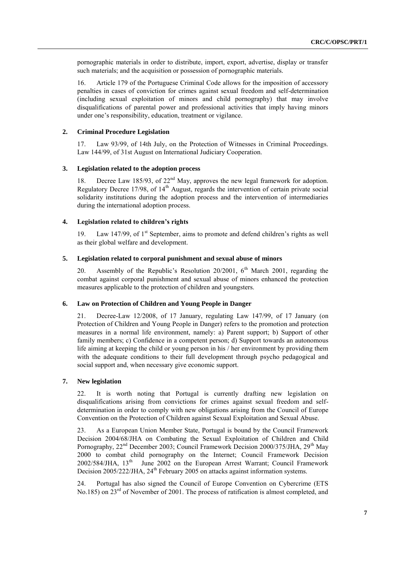pornographic materials in order to distribute, import, export, advertise, display or transfer such materials; and the acquisition or possession of pornographic materials.

16. Article 179 of the Portuguese Criminal Code allows for the imposition of accessory penalties in cases of conviction for crimes against sexual freedom and self-determination (including sexual exploitation of minors and child pornography) that may involve disqualifications of parental power and professional activities that imply having minors under one's responsibility, education, treatment or vigilance.

#### **2. Criminal Procedure Legislation**

17. Law 93/99, of 14th July, on the Protection of Witnesses in Criminal Proceedings. Law 144/99, of 31st August on International Judiciary Cooperation.

#### **3. Legislation related to the adoption process**

18. Decree Law 185/93, of 22<sup>nd</sup> May, approves the new legal framework for adoption. Regulatory Decree 17/98, of  $14<sup>th</sup>$  August, regards the intervention of certain private social solidarity institutions during the adoption process and the intervention of intermediaries during the international adoption process.

#### **4. Legislation related to children's rights**

19. Law 147/99, of 1<sup>st</sup> September, aims to promote and defend children's rights as well as their global welfare and development.

### **5. Legislation related to corporal punishment and sexual abuse of minors**

20. Assembly of the Republic's Resolution 20/2001,  $6<sup>th</sup>$  March 2001, regarding the combat against corporal punishment and sexual abuse of minors enhanced the protection measures applicable to the protection of children and youngsters.

#### **6. Law on Protection of Children and Young People in Danger**

21. Decree-Law 12/2008, of 17 January, regulating Law 147/99, of 17 January (on Protection of Children and Young People in Danger) refers to the promotion and protection measures in a normal life environment, namely: a) Parent support; b) Support of other family members; c) Confidence in a competent person; d) Support towards an autonomous life aiming at keeping the child or young person in his / her environment by providing them with the adequate conditions to their full development through psycho pedagogical and social support and, when necessary give economic support.

#### **7. New legislation**

22. It is worth noting that Portugal is currently drafting new legislation on disqualifications arising from convictions for crimes against sexual freedom and selfdetermination in order to comply with new obligations arising from the Council of Europe Convention on the Protection of Children against Sexual Exploitation and Sexual Abuse.

23. As a European Union Member State, Portugal is bound by the Council Framework Decision 2004/68/JHA on Combating the Sexual Exploitation of Children and Child Pornography, 22<sup>nd</sup> December 2003; Council Framework Decision 2000/375/JHA, 29<sup>th</sup> May 2000 to combat child pornography on the Internet; Council Framework Decision  $2002/584/JHA$ ,  $13<sup>th</sup>$  June 2002 on the European Arrest Warrant; Council Framework Decision 2005/222/JHA, 24<sup>th</sup> February 2005 on attacks against information systems.

24. Portugal has also signed the Council of Europe Convention on Cybercrime (ETS No.185) on 23<sup>rd</sup> of November of 2001. The process of ratification is almost completed, and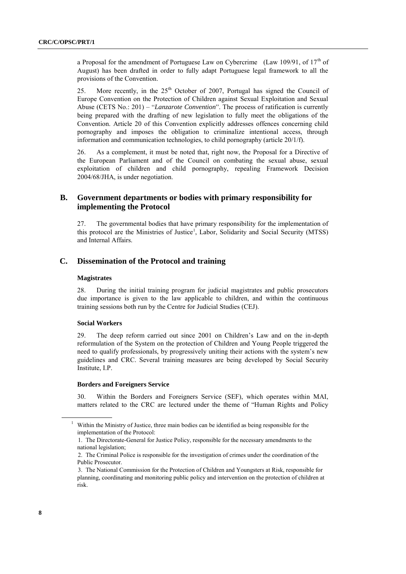a Proposal for the amendment of Portuguese Law on Cybercrime (Law 109/91, of  $17<sup>th</sup>$  of August) has been drafted in order to fully adapt Portuguese legal framework to all the provisions of the Convention.

25. More recently, in the  $25<sup>th</sup>$  October of 2007, Portugal has signed the Council of Europe Convention on the Protection of Children against Sexual Exploitation and Sexual Abuse (CETS No.: 201) – "*Lanzarote Convention*". The process of ratification is currently being prepared with the drafting of new legislation to fully meet the obligations of the Convention. Article 20 of this Convention explicitly addresses offences concerning child pornography and imposes the obligation to criminalize intentional access, through information and communication technologies, to child pornography (article 20/1/f).

26. As a complement, it must be noted that, right now, the Proposal for a Directive of the European Parliament and of the Council on combating the sexual abuse, sexual exploitation of children and child pornography, repealing Framework Decision 2004/68/JHA, is under negotiation.

## **B. Government departments or bodies with primary responsibility for implementing the Protocol**

27. The governmental bodies that have primary responsibility for the implementation of this protocol are the Ministries of Justice<sup>1</sup>, Labor, Solidarity and Social Security (MTSS) and Internal Affairs.

## **C. Dissemination of the Protocol and training**

#### **Magistrates**

28. During the initial training program for judicial magistrates and public prosecutors due importance is given to the law applicable to children, and within the continuous training sessions both run by the Centre for Judicial Studies (CEJ).

#### **Social Workers**

29. The deep reform carried out since 2001 on Children's Law and on the in-depth reformulation of the System on the protection of Children and Young People triggered the need to qualify professionals, by progressively uniting their actions with the system's new guidelines and CRC. Several training measures are being developed by Social Security Institute, I.P.

#### **Borders and Foreigners Service**

30. Within the Borders and Foreigners Service (SEF), which operates within MAI, matters related to the CRC are lectured under the theme of "Human Rights and Policy

<sup>&</sup>lt;sup>1</sup> Within the Ministry of Justice, three main bodies can be identified as being responsible for the implementation of the Protocol:

<sup>1.</sup> The Directorate-General for Justice Policy, responsible for the necessary amendments to the national legislation;

<sup>2.</sup> The Criminal Police is responsible for the investigation of crimes under the coordination of the Public Prosecutor.

<sup>3.</sup> The National Commission for the Protection of Children and Youngsters at Risk, responsible for planning, coordinating and monitoring public policy and intervention on the protection of children at risk.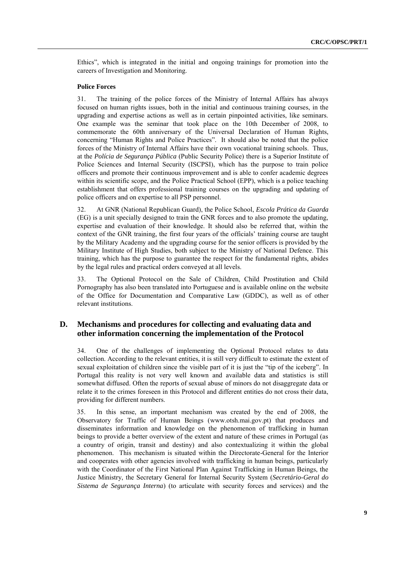Ethics‖, which is integrated in the initial and ongoing trainings for promotion into the careers of Investigation and Monitoring.

#### **Police Forces**

31. The training of the police forces of the Ministry of Internal Affairs has always focused on human rights issues, both in the initial and continuous training courses, in the upgrading and expertise actions as well as in certain pinpointed activities, like seminars. One example was the seminar that took place on the 10th December of 2008, to commemorate the 60th anniversary of the Universal Declaration of Human Rights, concerning "Human Rights and Police Practices". It should also be noted that the police forces of the Ministry of Internal Affairs have their own vocational training schools. Thus, at the *Polícia de Segurança Pública* (Public Security Police) there is a Superior Institute of Police Sciences and Internal Security (ISCPSI), which has the purpose to train police officers and promote their continuous improvement and is able to confer academic degrees within its scientific scope, and the Police Practical School (EPP), which is a police teaching establishment that offers professional training courses on the upgrading and updating of police officers and on expertise to all PSP personnel.

32. At GNR (National Republican Guard), the Police School, *Escola Prática da Guarda*  (EG) is a unit specially designed to train the GNR forces and to also promote the updating, expertise and evaluation of their knowledge. It should also be referred that, within the context of the GNR training, the first four years of the officials' training course are taught by the Military Academy and the upgrading course for the senior officers is provided by the Military Institute of High Studies, both subject to the Ministry of National Defence. This training, which has the purpose to guarantee the respect for the fundamental rights, abides by the legal rules and practical orders conveyed at all levels.

33. The Optional Protocol on the Sale of Children, Child Prostitution and Child Pornography has also been translated into Portuguese and is available online on the website of the Office for Documentation and Comparative Law (GDDC), as well as of other relevant institutions.

## **D. Mechanisms and procedures for collecting and evaluating data and other information concerning the implementation of the Protocol**

34. One of the challenges of implementing the Optional Protocol relates to data collection. According to the relevant entities, it is still very difficult to estimate the extent of sexual exploitation of children since the visible part of it is just the "tip of the iceberg". In Portugal this reality is not very well known and available data and statistics is still somewhat diffused. Often the reports of sexual abuse of minors do not disaggregate data or relate it to the crimes foreseen in this Protocol and different entities do not cross their data, providing for different numbers.

35. In this sense, an important mechanism was created by the end of 2008, the Observatory for Traffic of Human Beings [\(www.otsh.mai.gov.pt\)](http://www.otsh.mai.gov.pt/) that produces and disseminates information and knowledge on the phenomenon of trafficking in human beings to provide a better overview of the extent and nature of these crimes in Portugal (as a country of origin, transit and destiny) and also contextualizing it within the global phenomenon. This mechanism is situated within the Directorate-General for the Interior and cooperates with other agencies involved with trafficking in human beings, particularly with the Coordinator of the First National Plan Against Trafficking in Human Beings, the Justice Ministry, the Secretary General for Internal Security System (*Secretário-Geral do Sistema de Segurança Interna*) (to articulate with security forces and services) and the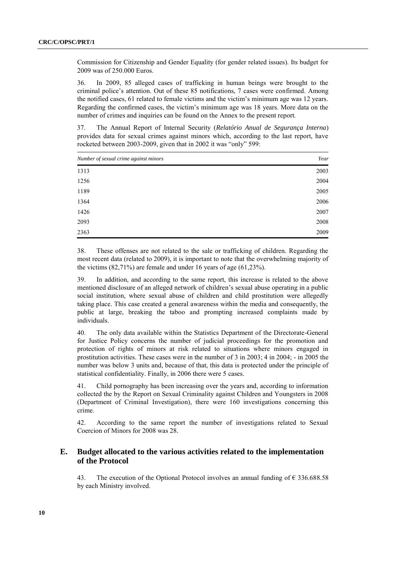Commission for Citizenship and Gender Equality (for gender related issues). Its budget for 2009 was of 250.000 Euros.

36. In 2009, 85 alleged cases of trafficking in human beings were brought to the criminal police's attention. Out of these 85 notifications, 7 cases were confirmed. Among the notified cases, 61 related to female victims and the victim's minimum age was 12 years. Regarding the confirmed cases, the victim's minimum age was 18 years. More data on the number of crimes and inquiries can be found on the Annex to the present report.

37. The Annual Report of Internal Security (*Relatório Anual de Segurança Interna*) provides data for sexual crimes against minors which, according to the last report, have rocketed between 2003-2009, given that in 2002 it was "only" 599:

| Number of sexual crime against minors | Year |
|---------------------------------------|------|
| 1313                                  | 2003 |
| 1256                                  | 2004 |
| 1189                                  | 2005 |
| 1364                                  | 2006 |
| 1426                                  | 2007 |
| 2093                                  | 2008 |
| 2363                                  | 2009 |

38. These offenses are not related to the sale or trafficking of children. Regarding the most recent data (related to 2009), it is important to note that the overwhelming majority of the victims (82,71%) are female and under 16 years of age (61,23%).

39. In addition, and according to the same report, this increase is related to the above mentioned disclosure of an alleged network of children's sexual abuse operating in a public social institution, where sexual abuse of children and child prostitution were allegedly taking place. This case created a general awareness within the media and consequently, the public at large, breaking the taboo and prompting increased complaints made by individuals.

40. The only data available within the Statistics Department of the Directorate-General for Justice Policy concerns the number of judicial proceedings for the promotion and protection of rights of minors at risk related to situations where minors engaged in prostitution activities. These cases were in the number of 3 in 2003; 4 in 2004; - in 2005 the number was below 3 units and, because of that, this data is protected under the principle of statistical confidentiality. Finally, in 2006 there were 5 cases.

41. Child pornography has been increasing over the years and, according to information collected the by the Report on Sexual Criminality against Children and Youngsters in 2008 (Department of Criminal Investigation), there were 160 investigations concerning this crime.

42. According to the same report the number of investigations related to Sexual Coercion of Minors for 2008 was 28.

## **E. Budget allocated to the various activities related to the implementation of the Protocol**

43. The execution of the Optional Protocol involves an annual funding of  $\epsilon$  336.688.58 by each Ministry involved.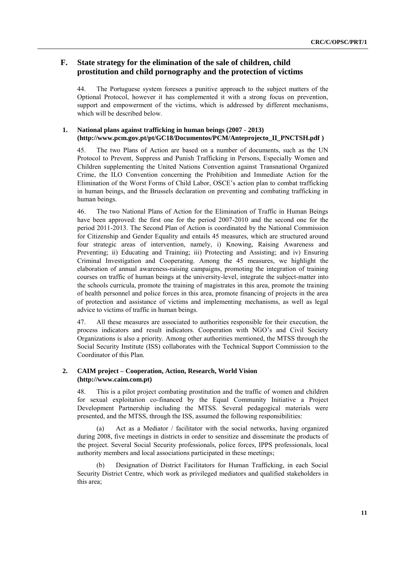## **F. State strategy for the elimination of the sale of children, child prostitution and child pornography and the protection of victims**

44. The Portuguese system foresees a punitive approach to the subject matters of the Optional Protocol, however it has complemented it with a strong focus on prevention, support and empowerment of the victims, which is addressed by different mechanisms, which will be described below.

#### **1. National plans against trafficking in human beings (2007 - 2013) (http://www.pcm.gov.pt/pt/GC18/Documentos/PCM/Anteprojecto\_II\_PNCTSH.pdf )**

45. The two Plans of Action are based on a number of documents, such as the UN Protocol to Prevent, Suppress and Punish Trafficking in Persons, Especially Women and Children supplementing the United Nations Convention against Transnational Organized Crime, the ILO Convention concerning the Prohibition and Immediate Action for the Elimination of the Worst Forms of Child Labor, OSCE's action plan to combat trafficking in human beings, and the Brussels declaration on preventing and combating trafficking in human beings.

46. The two National Plans of Action for the Elimination of Traffic in Human Beings have been approved: the first one for the period 2007-2010 and the second one for the period 2011-2013. The Second Plan of Action is coordinated by the National Commission for Citizenship and Gender Equality and entails 45 measures, which are structured around four strategic areas of intervention, namely, i) Knowing, Raising Awareness and Preventing; ii) Educating and Training; iii) Protecting and Assisting; and iv) Ensuring Criminal Investigation and Cooperating. Among the 45 measures, we highlight the elaboration of annual awareness-raising campaigns, promoting the integration of training courses on traffic of human beings at the university-level, integrate the subject-matter into the schools curricula, promote the training of magistrates in this area, promote the training of health personnel and police forces in this area, promote financing of projects in the area of protection and assistance of victims and implementing mechanisms, as well as legal advice to victims of traffic in human beings.

47. All these measures are associated to authorities responsible for their execution, the process indicators and result indicators. Cooperation with NGO's and Civil Society Organizations is also a priority. Among other authorities mentioned, the MTSS through the Social Security Institute (ISS) collaborates with the Technical Support Commission to the Coordinator of this Plan.

#### **2. CAIM project – Cooperation, Action, Research, World Vision (http://www.caim.com.pt)**

48. This is a pilot project combating prostitution and the traffic of women and children for sexual exploitation co-financed by the Equal Community Initiative a Project Development Partnership including the MTSS. Several pedagogical materials were presented, and the MTSS, through the ISS, assumed the following responsibilities:

(a) Act as a Mediator / facilitator with the social networks, having organized during 2008, five meetings in districts in order to sensitize and disseminate the products of the project. Several Social Security professionals, police forces, IPPS professionals, local authority members and local associations participated in these meetings;

Designation of District Facilitators for Human Trafficking, in each Social Security District Centre, which work as privileged mediators and qualified stakeholders in this area;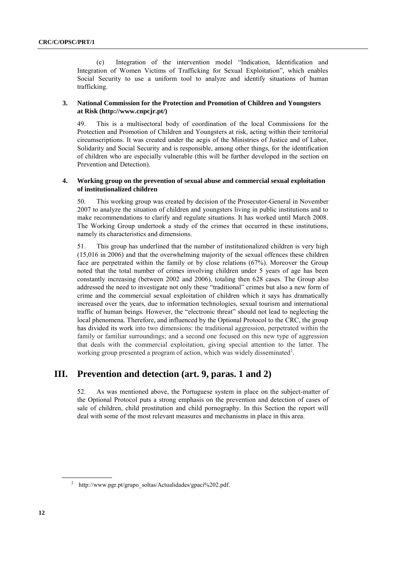(c) Integration of the intervention model "Indication, Identification and Integration of Women Victims of Trafficking for Sexual Exploitation", which enables Social Security to use a uniform tool to analyze and identify situations of human trafficking.

#### **3. National Commission for the Protection and Promotion of Children and Youngsters at Risk (http://www.cnpcjr.pt/)**

49. This is a multisectoral body of coordination of the local Commissions for the Protection and Promotion of Children and Youngsters at risk, acting within their territorial circumscriptions. It was created under the aegis of the Ministries of Justice and of Labor, Solidarity and Social Security and is responsible, among other things, for the identification of children who are especially vulnerable (this will be further developed in the section on Prevention and Detection).

#### **4. Working group on the prevention of sexual abuse and commercial sexual exploitation of institutionalized children**

50. This working group was created by decision of the Prosecutor-General in November 2007 to analyze the situation of children and youngsters living in public institutions and to make recommendations to clarify and regulate situations. It has worked until March 2008. The Working Group undertook a study of the crimes that occurred in these institutions, namely its characteristics and dimensions.

51. This group has underlined that the number of institutionalized children is very high (15,016 in 2006) and that the overwhelming majority of the sexual offences these children face are perpetrated within the family or by close relations (67%). Moreover the Group noted that the total number of crimes involving children under 5 years of age has been constantly increasing (between 2002 and 2006), totaling then 628 cases. The Group also addressed the need to investigate not only these "traditional" crimes but also a new form of crime and the commercial sexual exploitation of children which it says has dramatically increased over the years, due to information technologies, sexual tourism and international traffic of human beings. However, the "electronic threat" should not lead to neglecting the local phenomena. Therefore, and influenced by the Optional Protocol to the CRC, the group has divided its work into two dimensions: the traditional aggression, perpetrated within the family or familiar surroundings; and a second one focused on this new type of aggression that deals with the commercial exploitation, giving special attention to the latter. The working group presented a program of action, which was widely disseminated<sup>2</sup>.

## **III. Prevention and detection (art. 9, paras. 1 and 2)**

52. As was mentioned above, the Portuguese system in place on the subject-matter of the Optional Protocol puts a strong emphasis on the prevention and detection of cases of sale of children, child prostitution and child pornography. In this Section the report will deal with some of the most relevant measures and mechanisms in place in this area.

<sup>&</sup>lt;sup>2</sup> http://www.pgr.pt/grupo\_soltas/Actualidades/gpaci%202.pdf.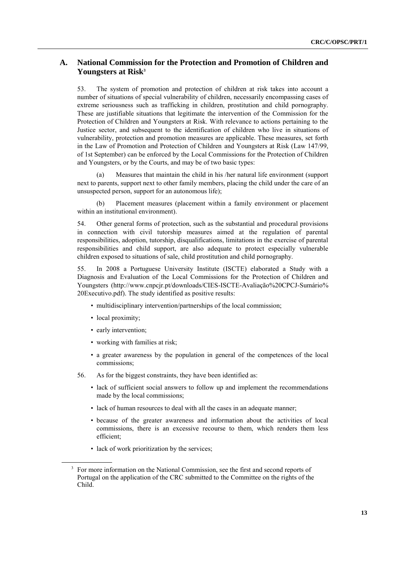## **A. National Commission for the Protection and Promotion of Children and Youngsters at Risk<sup>3</sup>**

53. The system of promotion and protection of children at risk takes into account a number of situations of special vulnerability of children, necessarily encompassing cases of extreme seriousness such as trafficking in children, prostitution and child pornography. These are justifiable situations that legitimate the intervention of the Commission for the Protection of Children and Youngsters at Risk. With relevance to actions pertaining to the Justice sector, and subsequent to the identification of children who live in situations of vulnerability, protection and promotion measures are applicable. These measures, set forth in the Law of Promotion and Protection of Children and Youngsters at Risk (Law 147/99, of 1st September) can be enforced by the Local Commissions for the Protection of Children and Youngsters, or by the Courts, and may be of two basic types:

(a) Measures that maintain the child in his /her natural life environment (support next to parents, support next to other family members, placing the child under the care of an unsuspected person, support for an autonomous life);

(b) Placement measures (placement within a family environment or placement within an institutional environment).

54. Other general forms of protection, such as the substantial and procedural provisions in connection with civil tutorship measures aimed at the regulation of parental responsibilities, adoption, tutorship, disqualifications, limitations in the exercise of parental responsibilities and child support, are also adequate to protect especially vulnerable children exposed to situations of sale, child prostitution and child pornography.

55. In 2008 a Portuguese University Institute (ISCTE) elaborated a Study with a Diagnosis and Evaluation of the Local Commissions for the Protection of Children and Youngsters [\(http://www.cnpcjr.pt/downloads/CIES-ISCTE-Avaliação%20CPCJ-Sumário%](http://www.cnpcjr.pt/downloads/CIES-ISCTE-Avaliação%20CPCJ-Sumário%25%0b20Executivo.pdf) [20Executivo.pdf\)](http://www.cnpcjr.pt/downloads/CIES-ISCTE-Avaliação%20CPCJ-Sumário%25%0b20Executivo.pdf). The study identified as positive results:

- multidisciplinary intervention/partnerships of the local commission;
- local proximity;
- early intervention;
- working with families at risk;
- a greater awareness by the population in general of the competences of the local commissions;
- 56. As for the biggest constraints, they have been identified as:
	- lack of sufficient social answers to follow up and implement the recommendations made by the local commissions;
	- lack of human resources to deal with all the cases in an adequate manner;
	- because of the greater awareness and information about the activities of local commissions, there is an excessive recourse to them, which renders them less efficient;
	- lack of work prioritization by the services;

<sup>&</sup>lt;sup>3</sup> For more information on the National Commission, see the first and second reports of Portugal on the application of the CRC submitted to the Committee on the rights of the Child.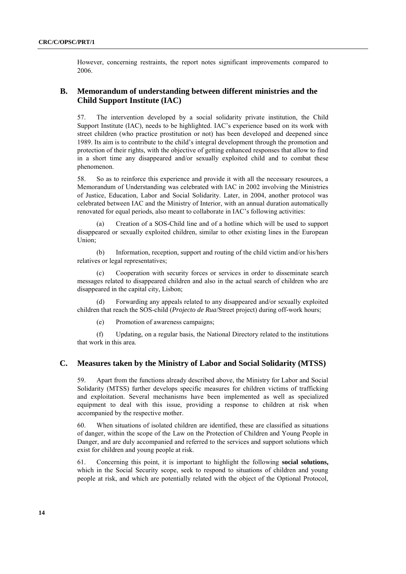However, concerning restraints, the report notes significant improvements compared to 2006.

## **B. Memorandum of understanding between different ministries and the Child Support Institute (IAC)**

57. The intervention developed by a social solidarity private institution, the Child Support Institute (IAC), needs to be highlighted. IAC's experience based on its work with street children (who practice prostitution or not) has been developed and deepened since 1989. Its aim is to contribute to the child's integral development through the promotion and protection of their rights, with the objective of getting enhanced responses that allow to find in a short time any disappeared and/or sexually exploited child and to combat these phenomenon.

58. So as to reinforce this experience and provide it with all the necessary resources, a Memorandum of Understanding was celebrated with IAC in 2002 involving the Ministries of Justice, Education, Labor and Social Solidarity. Later, in 2004, another protocol was celebrated between IAC and the Ministry of Interior, with an annual duration automatically renovated for equal periods, also meant to collaborate in IAC's following activities:

Creation of a SOS-Child line and of a hotline which will be used to support disappeared or sexually exploited children, similar to other existing lines in the European Union;

(b) Information, reception, support and routing of the child victim and/or his/hers relatives or legal representatives;

(c) Cooperation with security forces or services in order to disseminate search messages related to disappeared children and also in the actual search of children who are disappeared in the capital city, Lisbon;

(d) Forwarding any appeals related to any disappeared and/or sexually exploited children that reach the SOS-child (*Projecto de Rua*/Street project) during off-work hours;

(e) Promotion of awareness campaigns;

(f) Updating, on a regular basis, the National Directory related to the institutions that work in this area.

### **C. Measures taken by the Ministry of Labor and Social Solidarity (MTSS)**

59. Apart from the functions already described above, the Ministry for Labor and Social Solidarity (MTSS) further develops specific measures for children victims of trafficking and exploitation. Several mechanisms have been implemented as well as specialized equipment to deal with this issue, providing a response to children at risk when accompanied by the respective mother.

60. When situations of isolated children are identified, these are classified as situations of danger, within the scope of the Law on the Protection of Children and Young People in Danger, and are duly accompanied and referred to the services and support solutions which exist for children and young people at risk.

61. Concerning this point, it is important to highlight the following **social solutions,** which in the Social Security scope, seek to respond to situations of children and young people at risk, and which are potentially related with the object of the Optional Protocol,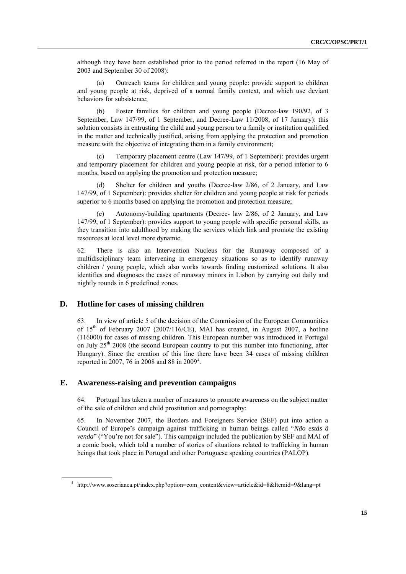although they have been established prior to the period referred in the report (16 May of 2003 and September 30 of 2008):

(a) Outreach teams for children and young people: provide support to children and young people at risk, deprived of a normal family context, and which use deviant behaviors for subsistence;

(b) Foster families for children and young people (Decree-law 190/92, of 3 September, Law 147/99, of 1 September, and Decree-Law 11/2008, of 17 January): this solution consists in entrusting the child and young person to a family or institution qualified in the matter and technically justified, arising from applying the protection and promotion measure with the objective of integrating them in a family environment;

(c) Temporary placement centre (Law 147/99, of 1 September): provides urgent and temporary placement for children and young people at risk, for a period inferior to 6 months, based on applying the promotion and protection measure;

(d) Shelter for children and youths (Decree-law 2/86, of 2 January, and Law 147/99, of 1 September): provides shelter for children and young people at risk for periods superior to 6 months based on applying the promotion and protection measure;

Autonomy-building apartments (Decree- law 2/86, of 2 January, and Law 147/99, of 1 September): provides support to young people with specific personal skills, as they transition into adulthood by making the services which link and promote the existing resources at local level more dynamic.

62. There is also an Intervention Nucleus for the Runaway composed of a multidisciplinary team intervening in emergency situations so as to identify runaway children / young people, which also works towards finding customized solutions. It also identifies and diagnoses the cases of runaway minors in Lisbon by carrying out daily and nightly rounds in 6 predefined zones.

## **D. Hotline for cases of missing children**

63. In view of article 5 of the decision of the Commission of the European Communities of  $15<sup>th</sup>$  of February 2007 (2007/116/CE), MAI has created, in August 2007, a hotline (116000) for cases of missing children. This European number was introduced in Portugal on July  $25<sup>th</sup> 2008$  (the second European country to put this number into functioning, after Hungary). Since the creation of this line there have been 34 cases of missing children reported in 2007, 76 in 2008 and 88 in 2009<sup>4</sup>.

#### **E. Awareness-raising and prevention campaigns**

64. Portugal has taken a number of measures to promote awareness on the subject matter of the sale of children and child prostitution and pornography:

65. In November 2007, the Borders and Foreigners Service (SEF) put into action a Council of Europe's campaign against trafficking in human beings called "Não estás à venda" ("You're not for sale"). This campaign included the publication by SEF and MAI of a comic book, which told a number of stories of situations related to trafficking in human beings that took place in Portugal and other Portuguese speaking countries (PALOP).

<sup>&</sup>lt;sup>4</sup> http://www.soscrianca.pt/index.php?option=com\_content&view=article&id=8&Itemid=9&lang=pt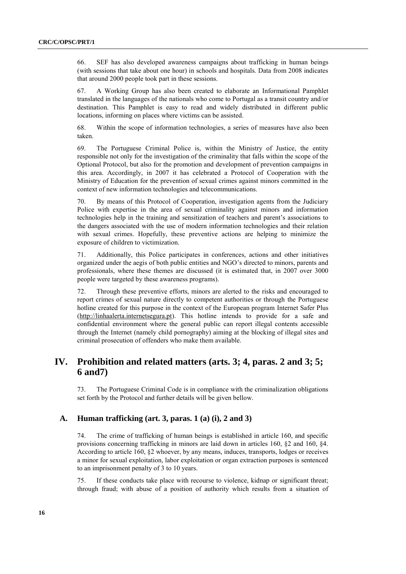66. SEF has also developed awareness campaigns about trafficking in human beings (with sessions that take about one hour) in schools and hospitals. Data from 2008 indicates that around 2000 people took part in these sessions.

67. A Working Group has also been created to elaborate an Informational Pamphlet translated in the languages of the nationals who come to Portugal as a transit country and/or destination. This Pamphlet is easy to read and widely distributed in different public locations, informing on places where victims can be assisted.

68. Within the scope of information technologies, a series of measures have also been taken.

69. The Portuguese Criminal Police is, within the Ministry of Justice, the entity responsible not only for the investigation of the criminality that falls within the scope of the Optional Protocol, but also for the promotion and development of prevention campaigns in this area. Accordingly, in 2007 it has celebrated a Protocol of Cooperation with the Ministry of Education for the prevention of sexual crimes against minors committed in the context of new information technologies and telecommunications.

70. By means of this Protocol of Cooperation, investigation agents from the Judiciary Police with expertise in the area of sexual criminality against minors and information technologies help in the training and sensitization of teachers and parent's associations to the dangers associated with the use of modern information technologies and their relation with sexual crimes. Hopefully, these preventive actions are helping to minimize the exposure of children to victimization.

71. Additionally, this Police participates in conferences, actions and other initiatives organized under the aegis of both public entities and NGO's directed to minors, parents and professionals, where these themes are discussed (it is estimated that, in 2007 over 3000 people were targeted by these awareness programs).

72. Through these preventive efforts, minors are alerted to the risks and encouraged to report crimes of sexual nature directly to competent authorities or through the Portuguese hotline created for this purpose in the context of the European program Internet Safer Plus [\(http://linhaalerta.internetsegura.pt\)](http://linhaalerta.internetsegura.pt/). This hotline intends to provide for a safe and confidential environment where the general public can report illegal contents accessible through the Internet (namely child pornography) aiming at the blocking of illegal sites and criminal prosecution of offenders who make them available.

## **IV. Prohibition and related matters (arts. 3; 4, paras. 2 and 3; 5; 6 and7)**

73. The Portuguese Criminal Code is in compliance with the criminalization obligations set forth by the Protocol and further details will be given bellow.

## **A. Human trafficking (art. 3, paras. 1 (a) (i), 2 and 3)**

74. The crime of trafficking of human beings is established in article 160, and specific provisions concerning trafficking in minors are laid down in articles 160, §2 and 160, §4. According to article 160, §2 whoever, by any means, induces, transports, lodges or receives a minor for sexual exploitation, labor exploitation or organ extraction purposes is sentenced to an imprisonment penalty of 3 to 10 years.

75. If these conducts take place with recourse to violence, kidnap or significant threat; through fraud; with abuse of a position of authority which results from a situation of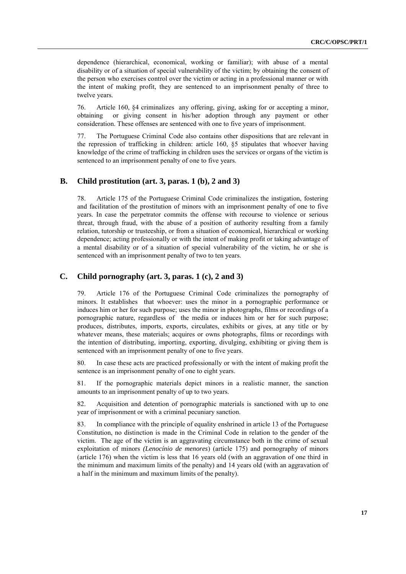dependence (hierarchical, economical, working or familiar); with abuse of a mental disability or of a situation of special vulnerability of the victim; by obtaining the consent of the person who exercises control over the victim or acting in a professional manner or with the intent of making profit, they are sentenced to an imprisonment penalty of three to twelve years.

76. Article 160, §4 criminalizes any offering, giving, asking for or accepting a minor, obtaining or giving consent in his/her adoption through any payment or other consideration. These offenses are sentenced with one to five years of imprisonment.

77. The Portuguese Criminal Code also contains other dispositions that are relevant in the repression of trafficking in children: article 160, §5 stipulates that whoever having knowledge of the crime of trafficking in children uses the services or organs of the victim is sentenced to an imprisonment penalty of one to five years.

#### **B. Child prostitution (art. 3, paras. 1 (b), 2 and 3)**

78. Article 175 of the Portuguese Criminal Code criminalizes the instigation, fostering and facilitation of the prostitution of minors with an imprisonment penalty of one to five years. In case the perpetrator commits the offense with recourse to violence or serious threat, through fraud, with the abuse of a position of authority resulting from a family relation, tutorship or trusteeship, or from a situation of economical, hierarchical or working dependence; acting professionally or with the intent of making profit or taking advantage of a mental disability or of a situation of special vulnerability of the victim, he or she is sentenced with an imprisonment penalty of two to ten years.

## **C. Child pornography (art. 3, paras. 1 (c), 2 and 3)**

79. Article 176 of the Portuguese Criminal Code criminalizes the pornography of minors. It establishes that whoever: uses the minor in a pornographic performance or induces him or her for such purpose; uses the minor in photographs, films or recordings of a pornographic nature, regardless of the media or induces him or her for such purpose; produces, distributes, imports, exports, circulates, exhibits or gives, at any title or by whatever means, these materials; acquires or owns photographs, films or recordings with the intention of distributing, importing, exporting, divulging, exhibiting or giving them is sentenced with an imprisonment penalty of one to five years.

80. In case these acts are practiced professionally or with the intent of making profit the sentence is an imprisonment penalty of one to eight years.

81. If the pornographic materials depict minors in a realistic manner, the sanction amounts to an imprisonment penalty of up to two years.

82. Acquisition and detention of pornographic materials is sanctioned with up to one year of imprisonment or with a criminal pecuniary sanction.

83. In compliance with the principle of equality enshrined in article 13 of the Portuguese Constitution, no distinction is made in the Criminal Code in relation to the gender of the victim. The age of the victim is an aggravating circumstance both in the crime of sexual exploitation of minors *(Lenocínio de menores*) (article 175) and pornography of minors (article 176) when the victim is less that 16 years old (with an aggravation of one third in the minimum and maximum limits of the penalty) and 14 years old (with an aggravation of a half in the minimum and maximum limits of the penalty).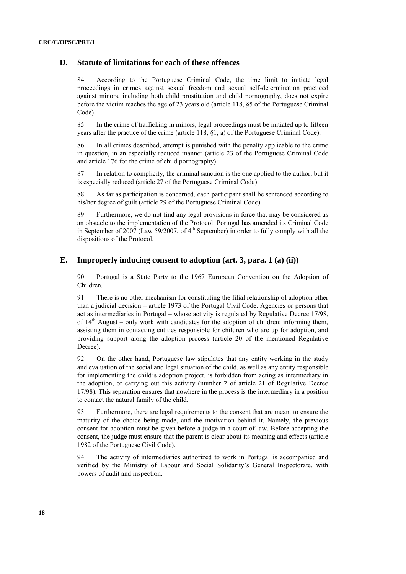## **D. Statute of limitations for each of these offences**

84. According to the Portuguese Criminal Code, the time limit to initiate legal proceedings in crimes against sexual freedom and sexual self-determination practiced against minors, including both child prostitution and child pornography, does not expire before the victim reaches the age of 23 years old (article 118, §5 of the Portuguese Criminal Code).

85. In the crime of trafficking in minors, legal proceedings must be initiated up to fifteen years after the practice of the crime (article 118, §1, a) of the Portuguese Criminal Code).

86. In all crimes described, attempt is punished with the penalty applicable to the crime in question, in an especially reduced manner (article 23 of the Portuguese Criminal Code and article 176 for the crime of child pornography).

87. In relation to complicity, the criminal sanction is the one applied to the author, but it is especially reduced (article 27 of the Portuguese Criminal Code).

88. As far as participation is concerned, each participant shall be sentenced according to his/her degree of guilt (article 29 of the Portuguese Criminal Code).

89. Furthermore, we do not find any legal provisions in force that may be considered as an obstacle to the implementation of the Protocol. Portugal has amended its Criminal Code in September of 2007 (Law 59/2007, of  $4<sup>th</sup>$  September) in order to fully comply with all the dispositions of the Protocol.

## **E. Improperly inducing consent to adoption (art. 3, para. 1 (a) (ii))**

90. Portugal is a State Party to the 1967 European Convention on the Adoption of Children.

91. There is no other mechanism for constituting the filial relationship of adoption other than a judicial decision – article 1973 of the Portugal Civil Code. Agencies or persons that act as intermediaries in Portugal – whose activity is regulated by Regulative Decree 17/98, of  $14<sup>th</sup>$  August – only work with candidates for the adoption of children: informing them, assisting them in contacting entities responsible for children who are up for adoption, and providing support along the adoption process (article 20 of the mentioned Regulative Decree).

92. On the other hand, Portuguese law stipulates that any entity working in the study and evaluation of the social and legal situation of the child, as well as any entity responsible for implementing the child's adoption project, is forbidden from acting as intermediary in the adoption, or carrying out this activity (number 2 of article 21 of Regulative Decree 17/98). This separation ensures that nowhere in the process is the intermediary in a position to contact the natural family of the child.

93. Furthermore, there are legal requirements to the consent that are meant to ensure the maturity of the choice being made, and the motivation behind it. Namely, the previous consent for adoption must be given before a judge in a court of law. Before accepting the consent, the judge must ensure that the parent is clear about its meaning and effects (article 1982 of the Portuguese Civil Code).

94. The activity of intermediaries authorized to work in Portugal is accompanied and verified by the Ministry of Labour and Social Solidarity's General Inspectorate, with powers of audit and inspection.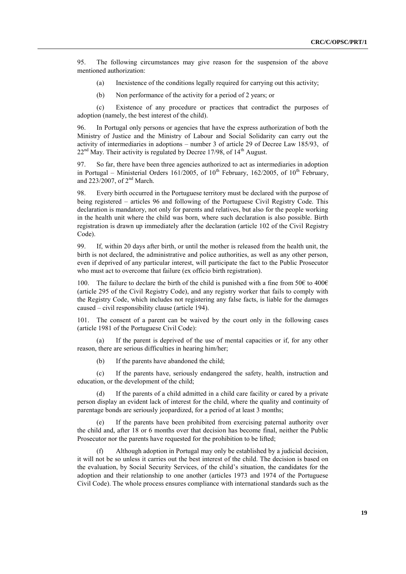95. The following circumstances may give reason for the suspension of the above mentioned authorization:

- (a) Inexistence of the conditions legally required for carrying out this activity;
- (b) Non performance of the activity for a period of 2 years; or

(c) Existence of any procedure or practices that contradict the purposes of adoption (namely, the best interest of the child).

96. In Portugal only persons or agencies that have the express authorization of both the Ministry of Justice and the Ministry of Labour and Social Solidarity can carry out the activity of intermediaries in adoptions – number 3 of article 29 of Decree Law 185/93, of  $22<sup>nd</sup>$  May. Their activity is regulated by Decree 17/98, of 14<sup>th</sup> August.

97. So far, there have been three agencies authorized to act as intermediaries in adoption in Portugal – Ministerial Orders 161/2005, of  $10^{th}$  February, 162/2005, of  $10^{th}$  February, and 223/2007, of 2nd March.

98. Every birth occurred in the Portuguese territory must be declared with the purpose of being registered – articles 96 and following of the Portuguese Civil Registry Code. This declaration is mandatory, not only for parents and relatives, but also for the people working in the health unit where the child was born, where such declaration is also possible. Birth registration is drawn up immediately after the declaration (article 102 of the Civil Registry Code).

99. If, within 20 days after birth, or until the mother is released from the health unit, the birth is not declared, the administrative and police authorities, as well as any other person, even if deprived of any particular interest, will participate the fact to the Public Prosecutor who must act to overcome that failure (ex officio birth registration).

100. The failure to declare the birth of the child is punished with a fine from 50 $\epsilon$  to 400 $\epsilon$ (article 295 of the Civil Registry Code), and any registry worker that fails to comply with the Registry Code, which includes not registering any false facts, is liable for the damages caused – civil responsibility clause (article 194).

101. The consent of a parent can be waived by the court only in the following cases (article 1981 of the Portuguese Civil Code):

(a) If the parent is deprived of the use of mental capacities or if, for any other reason, there are serious difficulties in hearing him/her;

(b) If the parents have abandoned the child;

(c) If the parents have, seriously endangered the safety, health, instruction and education, or the development of the child;

If the parents of a child admitted in a child care facility or cared by a private person display an evident lack of interest for the child, where the quality and continuity of parentage bonds are seriously jeopardized, for a period of at least 3 months;

If the parents have been prohibited from exercising paternal authority over the child and, after 18 or 6 months over that decision has become final, neither the Public Prosecutor nor the parents have requested for the prohibition to be lifted;

Although adoption in Portugal may only be established by a judicial decision, it will not be so unless it carries out the best interest of the child. The decision is based on the evaluation, by Social Security Services, of the child's situation, the candidates for the adoption and their relationship to one another (articles 1973 and 1974 of the Portuguese Civil Code). The whole process ensures compliance with international standards such as the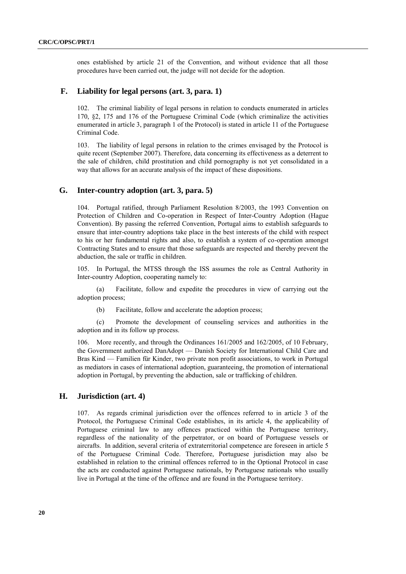ones established by article 21 of the Convention, and without evidence that all those procedures have been carried out, the judge will not decide for the adoption.

#### **F. Liability for legal persons (art. 3, para. 1)**

102. The criminal liability of legal persons in relation to conducts enumerated in articles 170, §2, 175 and 176 of the Portuguese Criminal Code (which criminalize the activities enumerated in article 3, paragraph 1 of the Protocol) is stated in article 11 of the Portuguese Criminal Code.

103. The liability of legal persons in relation to the crimes envisaged by the Protocol is quite recent (September 2007). Therefore, data concerning its effectiveness as a deterrent to the sale of children, child prostitution and child pornography is not yet consolidated in a way that allows for an accurate analysis of the impact of these dispositions.

### **G. Inter-country adoption (art. 3, para. 5)**

104. Portugal ratified, through Parliament Resolution 8/2003, the 1993 Convention on Protection of Children and Co-operation in Respect of Inter-Country Adoption (Hague Convention). By passing the referred Convention, Portugal aims to establish safeguards to ensure that inter-country adoptions take place in the best interests of the child with respect to his or her fundamental rights and also, to establish a system of co-operation amongst Contracting States and to ensure that those safeguards are respected and thereby prevent the abduction, the sale or traffic in children.

105. In Portugal, the MTSS through the ISS assumes the role as Central Authority in Inter-country Adoption, cooperating namely to:

(a) Facilitate, follow and expedite the procedures in view of carrying out the adoption process;

(b) Facilitate, follow and accelerate the adoption process;

(c) Promote the development of counseling services and authorities in the adoption and in its follow up process.

106. More recently, and through the Ordinances 161/2005 and 162/2005, of 10 February, the Government authorized DanAdopt — Danish Society for International Child Care and Bras Kind — Familien für Kinder, two private non profit associations, to work in Portugal as mediators in cases of international adoption, guaranteeing, the promotion of international adoption in Portugal, by preventing the abduction, sale or trafficking of children.

## **H. Jurisdiction (art. 4)**

107. As regards criminal jurisdiction over the offences referred to in article 3 of the Protocol, the Portuguese Criminal Code establishes, in its article 4, the applicability of Portuguese criminal law to any offences practiced within the Portuguese territory, regardless of the nationality of the perpetrator, or on board of Portuguese vessels or aircrafts. In addition, several criteria of extraterritorial competence are foreseen in article 5 of the Portuguese Criminal Code. Therefore, Portuguese jurisdiction may also be established in relation to the criminal offences referred to in the Optional Protocol in case the acts are conducted against Portuguese nationals, by Portuguese nationals who usually live in Portugal at the time of the offence and are found in the Portuguese territory.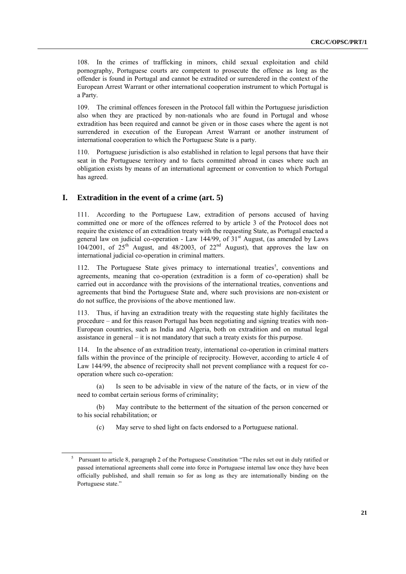108. In the crimes of trafficking in minors, child sexual exploitation and child pornography, Portuguese courts are competent to prosecute the offence as long as the offender is found in Portugal and cannot be extradited or surrendered in the context of the European Arrest Warrant or other international cooperation instrument to which Portugal is a Party.

109. The criminal offences foreseen in the Protocol fall within the Portuguese jurisdiction also when they are practiced by non-nationals who are found in Portugal and whose extradition has been required and cannot be given or in those cases where the agent is not surrendered in execution of the European Arrest Warrant or another instrument of international cooperation to which the Portuguese State is a party.

110. Portuguese jurisdiction is also established in relation to legal persons that have their seat in the Portuguese territory and to facts committed abroad in cases where such an obligation exists by means of an international agreement or convention to which Portugal has agreed.

### **I. Extradition in the event of a crime (art. 5)**

111. According to the Portuguese Law, extradition of persons accused of having committed one or more of the offences referred to by article 3 of the Protocol does not require the existence of an extradition treaty with the requesting State, as Portugal enacted a general law on judicial co-operation - Law 144/99, of  $31<sup>st</sup>$  August, (as amended by Laws  $104/2001$ , of  $25<sup>th</sup>$  August, and  $48/2003$ , of  $22<sup>nd</sup>$  August), that approves the law on international judicial co-operation in criminal matters.

112. The Portuguese State gives primacy to international treaties<sup>5</sup>, conventions and agreements, meaning that co-operation (extradition is a form of co-operation) shall be carried out in accordance with the provisions of the international treaties, conventions and agreements that bind the Portuguese State and, where such provisions are non-existent or do not suffice, the provisions of the above mentioned law.

113. Thus, if having an extradition treaty with the requesting state highly facilitates the procedure – and for this reason Portugal has been negotiating and signing treaties with non-European countries, such as India and Algeria, both on extradition and on mutual legal assistance in general – it is not mandatory that such a treaty exists for this purpose.

114. In the absence of an extradition treaty, international co-operation in criminal matters falls within the province of the principle of reciprocity. However, according to article 4 of Law 144/99, the absence of reciprocity shall not prevent compliance with a request for cooperation where such co-operation:

(a) Is seen to be advisable in view of the nature of the facts, or in view of the need to combat certain serious forms of criminality;

(b) May contribute to the betterment of the situation of the person concerned or to his social rehabilitation; or

(c) May serve to shed light on facts endorsed to a Portuguese national.

<sup>&</sup>lt;sup>5</sup> Pursuant to article 8, paragraph 2 of the Portuguese Constitution "The rules set out in duly ratified or passed international agreements shall come into force in Portuguese internal law once they have been officially published, and shall remain so for as long as they are internationally binding on the Portuguese state."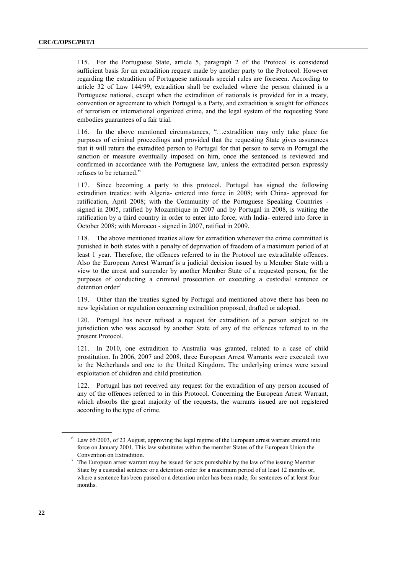115. For the Portuguese State, article 5, paragraph 2 of the Protocol is considered sufficient basis for an extradition request made by another party to the Protocol. However regarding the extradition of Portuguese nationals special rules are foreseen. According to article 32 of Law 144/99, extradition shall be excluded where the person claimed is a Portuguese national, except when the extradition of nationals is provided for in a treaty, convention or agreement to which Portugal is a Party, and extradition is sought for offences of terrorism or international organized crime, and the legal system of the requesting State embodies guarantees of a fair trial.

116. In the above mentioned circumstances, "...extradition may only take place for purposes of criminal proceedings and provided that the requesting State gives assurances that it will return the extradited person to Portugal for that person to serve in Portugal the sanction or measure eventually imposed on him, once the sentenced is reviewed and confirmed in accordance with the Portuguese law, unless the extradited person expressly refuses to be returned."

117. Since becoming a party to this protocol, Portugal has signed the following extradition treaties: with Algeria- entered into force in 2008; with China- approved for ratification, April 2008; with the Community of the Portuguese Speaking Countries signed in 2005, ratified by Mozambique in 2007 and by Portugal in 2008, is waiting the ratification by a third country in order to enter into force; with India- entered into force in October 2008; with Morocco - signed in 2007, ratified in 2009.

118. The above mentioned treaties allow for extradition whenever the crime committed is punished in both states with a penalty of deprivation of freedom of a maximum period of at least 1 year. Therefore, the offences referred to in the Protocol are extraditable offences. Also the European Arrest Warrant<sup>6</sup>is a judicial decision issued by a Member State with a view to the arrest and surrender by another Member State of a requested person, for the purposes of conducting a criminal prosecution or executing a custodial sentence or detention order<sup>7</sup>

119. Other than the treaties signed by Portugal and mentioned above there has been no new legislation or regulation concerning extradition proposed, drafted or adopted.

120. Portugal has never refused a request for extradition of a person subject to its jurisdiction who was accused by another State of any of the offences referred to in the present Protocol.

121. In 2010, one extradition to Australia was granted, related to a case of child prostitution. In 2006, 2007 and 2008, three European Arrest Warrants were executed: two to the Netherlands and one to the United Kingdom. The underlying crimes were sexual exploitation of children and child prostitution.

122. Portugal has not received any request for the extradition of any person accused of any of the offences referred to in this Protocol. Concerning the European Arrest Warrant, which absorbs the great majority of the requests, the warrants issued are not registered according to the type of crime.

<sup>6</sup> Law 65/2003, of 23 August, approving the legal regime of the European arrest warrant entered into force on January 2001. This law substitutes within the member States of the European Union the Convention on Extradition.

 $7$  The European arrest warrant may be issued for acts punishable by the law of the issuing Member State by a custodial sentence or a detention order for a maximum period of at least 12 months or, where a sentence has been passed or a detention order has been made, for sentences of at least four months.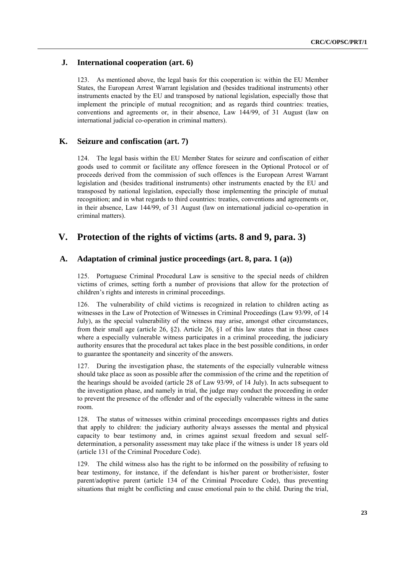## **J. International cooperation (art. 6)**

123. As mentioned above, the legal basis for this cooperation is: within the EU Member States, the European Arrest Warrant legislation and (besides traditional instruments) other instruments enacted by the EU and transposed by national legislation, especially those that implement the principle of mutual recognition; and as regards third countries: treaties, conventions and agreements or, in their absence, Law 144/99, of 31 August (law on international judicial co-operation in criminal matters).

## **K. Seizure and confiscation (art. 7)**

124. The legal basis within the EU Member States for seizure and confiscation of either goods used to commit or facilitate any offence foreseen in the Optional Protocol or of proceeds derived from the commission of such offences is the European Arrest Warrant legislation and (besides traditional instruments) other instruments enacted by the EU and transposed by national legislation, especially those implementing the principle of mutual recognition; and in what regards to third countries: treaties, conventions and agreements or, in their absence, Law 144/99, of 31 August (law on international judicial co-operation in criminal matters).

## **V. Protection of the rights of victims (arts. 8 and 9, para. 3)**

### **A. Adaptation of criminal justice proceedings (art. 8, para. 1 (a))**

125. Portuguese Criminal Procedural Law is sensitive to the special needs of children victims of crimes, setting forth a number of provisions that allow for the protection of children's rights and interests in criminal proceedings.

126. The vulnerability of child victims is recognized in relation to children acting as witnesses in the Law of Protection of Witnesses in Criminal Proceedings (Law 93/99, of 14 July), as the special vulnerability of the witness may arise, amongst other circumstances, from their small age (article 26,  $\S$ 2). Article 26,  $\S$ 1 of this law states that in those cases where a especially vulnerable witness participates in a criminal proceeding, the judiciary authority ensures that the procedural act takes place in the best possible conditions, in order to guarantee the spontaneity and sincerity of the answers.

127. During the investigation phase, the statements of the especially vulnerable witness should take place as soon as possible after the commission of the crime and the repetition of the hearings should be avoided (article 28 of Law 93/99, of 14 July). In acts subsequent to the investigation phase, and namely in trial, the judge may conduct the proceeding in order to prevent the presence of the offender and of the especially vulnerable witness in the same room.

128. The status of witnesses within criminal proceedings encompasses rights and duties that apply to children: the judiciary authority always assesses the mental and physical capacity to bear testimony and, in crimes against sexual freedom and sexual selfdetermination, a personality assessment may take place if the witness is under 18 years old (article 131 of the Criminal Procedure Code).

129. The child witness also has the right to be informed on the possibility of refusing to bear testimony, for instance, if the defendant is his/her parent or brother/sister, foster parent/adoptive parent (article 134 of the Criminal Procedure Code), thus preventing situations that might be conflicting and cause emotional pain to the child. During the trial,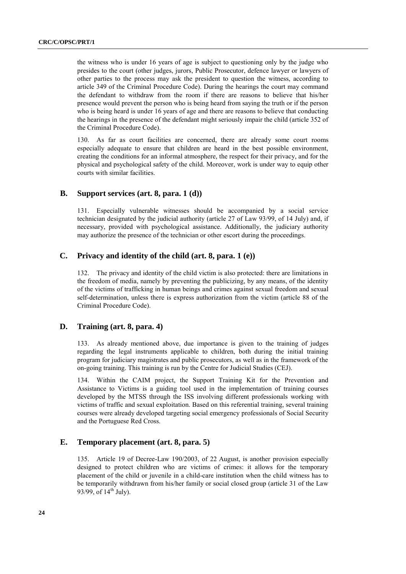the witness who is under 16 years of age is subject to questioning only by the judge who presides to the court (other judges, jurors, Public Prosecutor, defence lawyer or lawyers of other parties to the process may ask the president to question the witness, according to article 349 of the Criminal Procedure Code). During the hearings the court may command the defendant to withdraw from the room if there are reasons to believe that his/her presence would prevent the person who is being heard from saying the truth or if the person who is being heard is under 16 years of age and there are reasons to believe that conducting the hearings in the presence of the defendant might seriously impair the child (article 352 of the Criminal Procedure Code).

130. As far as court facilities are concerned, there are already some court rooms especially adequate to ensure that children are heard in the best possible environment, creating the conditions for an informal atmosphere, the respect for their privacy, and for the physical and psychological safety of the child. Moreover, work is under way to equip other courts with similar facilities.

#### **B. Support services (art. 8, para. 1 (d))**

131. Especially vulnerable witnesses should be accompanied by a social service technician designated by the judicial authority (article 27 of Law 93/99, of 14 July) and, if necessary, provided with psychological assistance. Additionally, the judiciary authority may authorize the presence of the technician or other escort during the proceedings.

#### **C. Privacy and identity of the child (art. 8, para. 1 (e))**

132. The privacy and identity of the child victim is also protected: there are limitations in the freedom of media, namely by preventing the publicizing, by any means, of the identity of the victims of trafficking in human beings and crimes against sexual freedom and sexual self-determination, unless there is express authorization from the victim (article 88 of the Criminal Procedure Code).

## **D. Training (art. 8, para. 4)**

133. As already mentioned above, due importance is given to the training of judges regarding the legal instruments applicable to children, both during the initial training program for judiciary magistrates and public prosecutors, as well as in the framework of the on-going training. This training is run by the Centre for Judicial Studies (CEJ).

134. Within the CAIM project, the Support Training Kit for the Prevention and Assistance to Victims is a guiding tool used in the implementation of training courses developed by the MTSS through the ISS involving different professionals working with victims of traffic and sexual exploitation. Based on this referential training, several training courses were already developed targeting social emergency professionals of Social Security and the Portuguese Red Cross.

#### **E. Temporary placement (art. 8, para. 5)**

135. Article 19 of Decree-Law 190/2003, of 22 August, is another provision especially designed to protect children who are victims of crimes: it allows for the temporary placement of the child or juvenile in a child-care institution when the child witness has to be temporarily withdrawn from his/her family or social closed group (article 31 of the Law 93/99, of  $14^{th}$  July).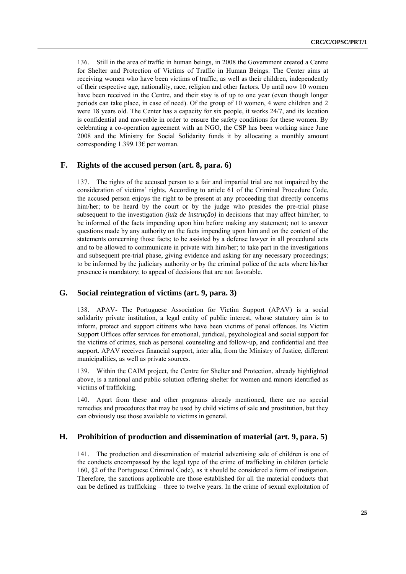136. Still in the area of traffic in human beings, in 2008 the Government created a Centre for Shelter and Protection of Victims of Traffic in Human Beings. The Center aims at receiving women who have been victims of traffic, as well as their children, independently of their respective age, nationality, race, religion and other factors. Up until now 10 women have been received in the Centre, and their stay is of up to one year (even though longer periods can take place, in case of need). Of the group of 10 women, 4 were children and 2 were 18 years old. The Center has a capacity for six people, it works 24/7, and its location is confidential and moveable in order to ensure the safety conditions for these women. By celebrating a co-operation agreement with an NGO, the CSP has been working since June 2008 and the Ministry for Social Solidarity funds it by allocating a monthly amount corresponding 1.399.13€ per woman.

## **F. Rights of the accused person (art. 8, para. 6)**

137. The rights of the accused person to a fair and impartial trial are not impaired by the consideration of victims' rights. According to article 61 of the Criminal Procedure Code, the accused person enjoys the right to be present at any proceeding that directly concerns him/her; to be heard by the court or by the judge who presides the pre-trial phase subsequent to the investigation *(juiz de instrução)* in decisions that may affect him/her; to be informed of the facts impending upon him before making any statement; not to answer questions made by any authority on the facts impending upon him and on the content of the statements concerning those facts; to be assisted by a defense lawyer in all procedural acts and to be allowed to communicate in private with him/her; to take part in the investigations and subsequent pre-trial phase, giving evidence and asking for any necessary proceedings; to be informed by the judiciary authority or by the criminal police of the acts where his/her presence is mandatory; to appeal of decisions that are not favorable.

#### **G. Social reintegration of victims (art. 9, para. 3)**

138. APAV- The Portuguese Association for Victim Support (APAV) is a social solidarity private institution, a legal entity of public interest, whose statutory aim is to inform, protect and support citizens who have been victims of penal offences. Its Victim Support Offices offer services for emotional, juridical, psychological and social support for the victims of crimes, such as personal counseling and follow-up, and confidential and free support. APAV receives financial support, inter alia, from the Ministry of Justice, different municipalities, as well as private sources.

139. Within the CAIM project, the Centre for Shelter and Protection, already highlighted above, is a national and public solution offering shelter for women and minors identified as victims of trafficking.

140. Apart from these and other programs already mentioned, there are no special remedies and procedures that may be used by child victims of sale and prostitution, but they can obviously use those available to victims in general.

#### **H. Prohibition of production and dissemination of material (art. 9, para. 5)**

141. The production and dissemination of material advertising sale of children is one of the conducts encompassed by the legal type of the crime of trafficking in children (article 160, §2 of the Portuguese Criminal Code), as it should be considered a form of instigation. Therefore, the sanctions applicable are those established for all the material conducts that can be defined as trafficking – three to twelve years. In the crime of sexual exploitation of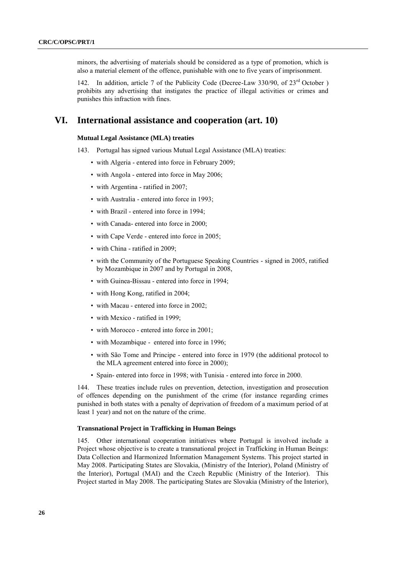minors, the advertising of materials should be considered as a type of promotion, which is also a material element of the offence, punishable with one to five years of imprisonment.

142. In addition, article 7 of the Publicity Code (Decree-Law 330/90, of 23<sup>rd</sup> October ) prohibits any advertising that instigates the practice of illegal activities or crimes and punishes this infraction with fines.

## **VI. International assistance and cooperation (art. 10)**

#### **Mutual Legal Assistance (MLA) treaties**

- 143. Portugal has signed various Mutual Legal Assistance (MLA) treaties:
	- with Algeria entered into force in February 2009;
	- with Angola entered into force in May 2006;
	- with Argentina ratified in 2007;
	- with Australia entered into force in 1993;
	- with Brazil entered into force in 1994;
	- with Canada- entered into force in 2000;
	- with Cape Verde entered into force in 2005;
	- with China ratified in 2009;
	- with the Community of the Portuguese Speaking Countries signed in 2005, ratified by Mozambique in 2007 and by Portugal in 2008,
	- with Guinea-Bissau entered into force in 1994;
	- with Hong Kong, ratified in 2004;
	- with Macau entered into force in 2002;
	- with Mexico ratified in 1999;
	- with Morocco entered into force in 2001;
	- with Mozambique entered into force in 1996;
	- with São Tome and Principe entered into force in 1979 (the additional protocol to the MLA agreement entered into force in 2000);
	- Spain- entered into force in 1998; with Tunisia entered into force in 2000.

144. These treaties include rules on prevention, detection, investigation and prosecution of offences depending on the punishment of the crime (for instance regarding crimes punished in both states with a penalty of deprivation of freedom of a maximum period of at least 1 year) and not on the nature of the crime.

#### **Transnational Project in Trafficking in Human Beings**

145. Other international cooperation initiatives where Portugal is involved include a Project whose objective is to create a transnational project in Trafficking in Human Beings: Data Collection and Harmonized Information Management Systems. This project started in May 2008. Participating States are Slovakia, (Ministry of the Interior), Poland (Ministry of the Interior), Portugal (MAI) and the Czech Republic (Ministry of the Interior). This Project started in May 2008. The participating States are Slovakia (Ministry of the Interior),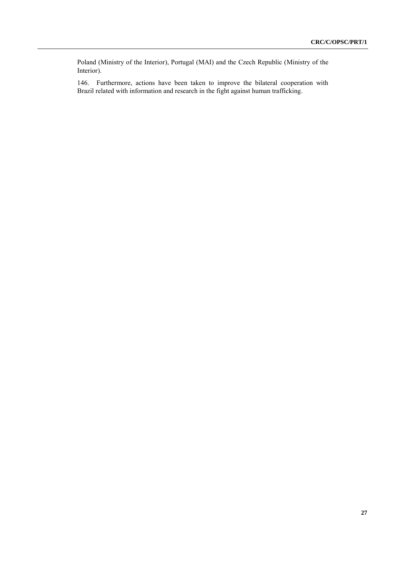Poland (Ministry of the Interior), Portugal (MAI) and the Czech Republic (Ministry of the Interior).

146. Furthermore, actions have been taken to improve the bilateral cooperation with Brazil related with information and research in the fight against human trafficking.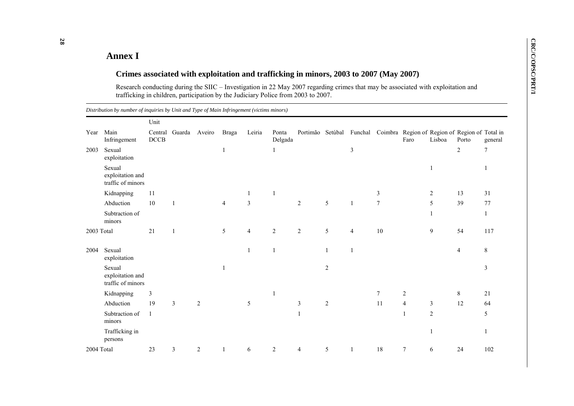## **Annex I**

## **Crimes associated with exploitation and trafficking in minors, 2003 to 2007 (May 2007)**

Research conducting during the SIIC – Investigation in 22 May 2007 regarding crimes that may be associated with exploitation and trafficking in children, participation by the Judiciary Police from 2003 to 2007.

|            |                                                 | Unit            |               |                |                |                |                  |                |                |                |        |                                                                                 |                |            |                |
|------------|-------------------------------------------------|-----------------|---------------|----------------|----------------|----------------|------------------|----------------|----------------|----------------|--------|---------------------------------------------------------------------------------|----------------|------------|----------------|
| Year       | Main<br>Infringement                            | Central<br>DCCB | Guarda Aveiro |                | Braga          | Leiria         | Ponta<br>Delgada |                |                |                |        | Portimão Setúbal Funchal Coimbra Region of Region of Region of Total in<br>Faro | Lisboa         | Porto      | general        |
| 2003       | Sexual<br>exploitation                          |                 |               |                | 1              |                |                  |                |                | $\mathfrak{Z}$ |        |                                                                                 |                | $\sqrt{2}$ | $\overline{7}$ |
|            | Sexual<br>exploitation and<br>traffic of minors |                 |               |                |                |                |                  |                |                |                |        |                                                                                 |                |            |                |
|            | Kidnapping                                      | 11              |               |                |                | -1             | $\overline{1}$   |                |                |                | 3      |                                                                                 | $\sqrt{2}$     | 13         | 31             |
|            | Abduction                                       | 10              |               |                | $\overline{4}$ | $\mathfrak{Z}$ |                  | $\overline{c}$ | 5              |                | $\tau$ |                                                                                 | 5              | 39         | 77             |
|            | Subtraction of<br>minors                        |                 |               |                |                |                |                  |                |                |                |        |                                                                                 |                |            | 1              |
| 2003 Total |                                                 | 21              |               |                | 5              | $\overline{4}$ | $\overline{2}$   | $\sqrt{2}$     | 5              | $\overline{4}$ | 10     |                                                                                 | 9              | 54         | 117            |
| 2004       | Sexual<br>exploitation                          |                 |               |                |                |                | $\overline{1}$   |                |                |                |        |                                                                                 |                | 4          | 8              |
|            | Sexual<br>exploitation and<br>traffic of minors |                 |               |                | $\overline{1}$ |                |                  |                | 2              |                |        |                                                                                 |                |            | 3              |
|            | Kidnapping                                      | 3               |               |                |                |                |                  |                |                |                | 7      | $\overline{2}$                                                                  |                | 8          | 21             |
|            | Abduction                                       | 19              | 3             | $\overline{c}$ |                | $\sqrt{5}$     |                  | $\mathfrak{Z}$ | $\overline{2}$ |                | 11     | $\overline{4}$                                                                  | $\mathfrak{Z}$ | 12         | 64             |
|            | Subtraction of<br>minors                        | $\overline{1}$  |               |                |                |                |                  | 1              |                |                |        | $\mathbf{1}$                                                                    | $\overline{2}$ |            | 5              |
|            | Trafficking in<br>persons                       |                 |               |                |                |                |                  |                |                |                |        |                                                                                 |                |            |                |
| 2004 Total |                                                 | 23              | 3             | $\overline{c}$ | 1              | 6              | $\overline{2}$   | 4              | $\sqrt{5}$     | 1              | 18     | $\tau$                                                                          | 6              | 24         | 102            |

*Distribution by number of inquiries by Unit and Type of Main Infringement (victims minors)*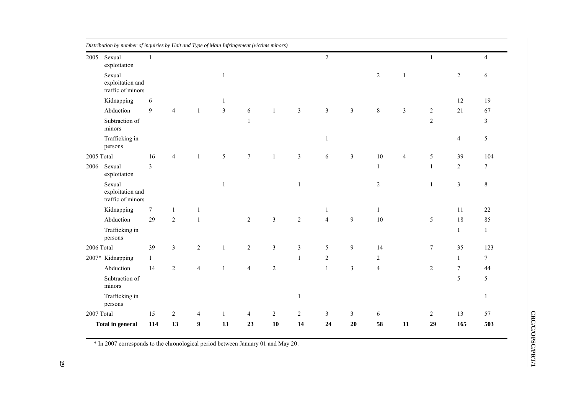| 2005       | Sexual<br>exploitation                          | $\mathbf{1}$     |                  |                |                |                 |                |                | $\overline{2}$ |                |                  |                | $\mathbf{1}$   |                  | $\overline{4}$   |
|------------|-------------------------------------------------|------------------|------------------|----------------|----------------|-----------------|----------------|----------------|----------------|----------------|------------------|----------------|----------------|------------------|------------------|
|            | Sexual<br>exploitation and<br>traffic of minors |                  |                  |                | $\mathbf{1}$   |                 |                |                |                |                | $\boldsymbol{2}$ | 1              |                | $\sqrt{2}$       | 6                |
|            | Kidnapping                                      | 6                |                  |                | 1              |                 |                |                |                |                |                  |                |                | 12               | 19               |
|            | Abduction                                       | 9                | $\overline{4}$   | $\mathbf{1}$   | $\mathfrak{Z}$ | 6               | $\mathbf{1}$   | $\mathfrak{Z}$ | $\mathfrak{Z}$ | $\mathfrak{Z}$ | $8\,$            | $\mathfrak{Z}$ | $\overline{2}$ | 21               | 67               |
|            | Subtraction of<br>minors                        |                  |                  |                |                | $\mathbf{1}$    |                |                |                |                |                  |                | $\overline{2}$ |                  | $\mathfrak{Z}$   |
|            | Trafficking in<br>persons                       |                  |                  |                |                |                 |                |                | $\mathbf{1}$   |                |                  |                |                | $\overline{4}$   | $\sqrt{5}$       |
| 2005 Total |                                                 | 16               | $\overline{4}$   | $\mathbf{1}$   | 5              | $7\phantom{.0}$ | $\mathbf{1}$   | $\mathfrak{Z}$ | 6              | $\mathfrak{Z}$ | $10\,$           | $\overline{4}$ | $\sqrt{5}$     | 39               | 104              |
| 2006       | Sexual<br>exploitation                          | $\mathfrak{Z}$   |                  |                |                |                 |                |                |                |                | $\mathbf{1}$     |                | $\mathbf 1$    | $\boldsymbol{2}$ | $\boldsymbol{7}$ |
|            | Sexual<br>exploitation and<br>traffic of minors |                  |                  |                | 1              |                 |                | $\mathbf{1}$   |                |                | $\boldsymbol{2}$ |                | $\mathbf{1}$   | $\mathfrak{Z}$   | $\,8\,$          |
|            | Kidnapping                                      | $\boldsymbol{7}$ | 1                | 1              |                |                 |                |                | 1              |                | 1                |                |                | 11               | 22               |
|            | Abduction                                       | 29               | $\sqrt{2}$       | $\mathbf{1}$   |                | $\overline{2}$  | $\mathfrak{Z}$ | $\sqrt{2}$     | $\overline{4}$ | $\overline{9}$ | $10\,$           |                | $\sqrt{5}$     | 18               | 85               |
|            | Trafficking in<br>persons                       |                  |                  |                |                |                 |                |                |                |                |                  |                |                | $\mathbf{1}$     | $\mathbf{1}$     |
| 2006 Total |                                                 | 39               | $\mathfrak{Z}$   | $\sqrt{2}$     | $\mathbf{1}$   | $\sqrt{2}$      | $\mathfrak{Z}$ | $\mathfrak{Z}$ | 5              | 9              | 14               |                | $\tau$         | 35               | 123              |
|            | 2007* Kidnapping                                | $\mathbf{1}$     |                  |                |                |                 |                | $\mathbf{1}$   | $\overline{2}$ |                | $\overline{c}$   |                |                | 1                | $\boldsymbol{7}$ |
|            | Abduction                                       | 14               | $\sqrt{2}$       | $\overline{4}$ | 1              | $\overline{4}$  | $\sqrt{2}$     |                | $\mathbf{1}$   | $\mathfrak{Z}$ | $\overline{4}$   |                | $\sqrt{2}$     | $\boldsymbol{7}$ | 44               |
|            | Subtraction of<br>minors                        |                  |                  |                |                |                 |                |                |                |                |                  |                |                | 5                | 5                |
|            | Trafficking in<br>persons                       |                  |                  |                |                |                 |                | $\mathbf{1}$   |                |                |                  |                |                |                  | $\,1\,$          |
| 2007 Total |                                                 | 15               | $\boldsymbol{2}$ | 4              | 1              | 4               | $\sqrt{2}$     | $\sqrt{2}$     | $\mathfrak{Z}$ | $\mathfrak{Z}$ | 6                |                | 2              | 13               | 57               |
|            | <b>Total in general</b>                         | 114              | 13               | 9              | 13             | 23              | 10             | 14             | 24             | 20             | 58               | ${\bf 11}$     | 29             | 165              | 503              |

\* In 2007 corresponds to the chronological period between January 01 and May 20 .

CRC/C/OPSC/PRT/1 **CRC/C/OPSC/PRT/1**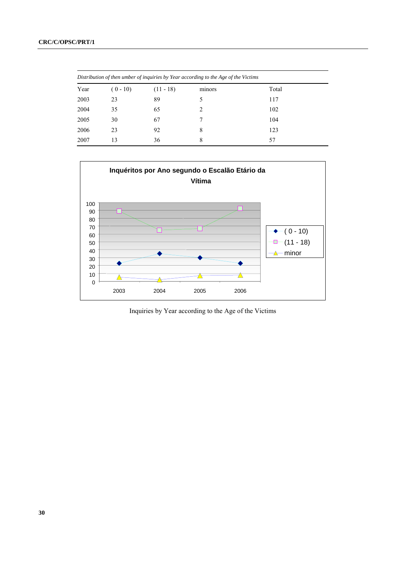| Distribution of then umber of inquiries by Year according to the Age of the Victims |            |             |        |       |  |  |  |  |  |  |  |  |  |  |
|-------------------------------------------------------------------------------------|------------|-------------|--------|-------|--|--|--|--|--|--|--|--|--|--|
| Year                                                                                | $(0 - 10)$ | $(11 - 18)$ | minors | Total |  |  |  |  |  |  |  |  |  |  |
| 2003                                                                                | 23         | 89          |        | 117   |  |  |  |  |  |  |  |  |  |  |
| 2004                                                                                | 35         | 65          | 2      | 102   |  |  |  |  |  |  |  |  |  |  |
| 2005                                                                                | 30         | 67          |        | 104   |  |  |  |  |  |  |  |  |  |  |
| 2006                                                                                | 23         | 92          | 8      | 123   |  |  |  |  |  |  |  |  |  |  |
| 2007                                                                                | 13         | 36          | 8      | 57    |  |  |  |  |  |  |  |  |  |  |



Inquiries by Year according to the Age of the Victims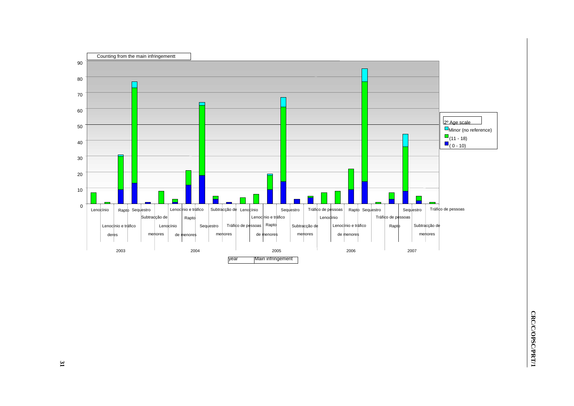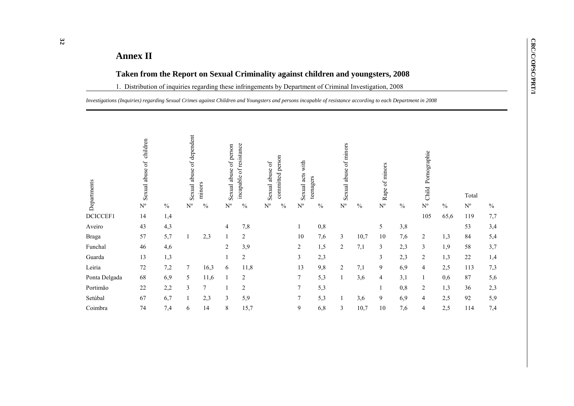# **Annex II**

## **Taken from the Report on Sexual Criminality against children and youngsters, 2008**

1. Distribution of inquiries regarding these infringements by Department of Criminal Investigation, 2008

*Investigations (Inquiries) regarding Sexual Crimes against Children and Youngsters and persons incapable of resistance according to each Department in 2008*

| Departments   | children<br>Sexual abuse of |               | Sexual abuse of dependent | minors        | Sexual abuse of person | resistance<br>Ъp<br>incapable | Sexual abuse of | committed person | with<br>Sexual acts | teenagers | Sexual abuse of minors  |               | Rape of minors          |      | Pornographie<br>Child |               | Total       |      |
|---------------|-----------------------------|---------------|---------------------------|---------------|------------------------|-------------------------------|-----------------|------------------|---------------------|-----------|-------------------------|---------------|-------------------------|------|-----------------------|---------------|-------------|------|
|               | $N^{o}$                     | $\frac{0}{0}$ | $N^{\circ}$               | $\frac{0}{0}$ | $N^{\circ}$            | $\frac{0}{0}$                 | $N^{\rm o}$     | $\frac{0}{0}$    | $N^{\circ}$         | $\%$      | $\mathbf{N}^{\text{o}}$ | $\frac{0}{0}$ | $\mathbf{N}^{\text{o}}$ | $\%$ | $N^{o}$               | $\frac{0}{0}$ | $N^{\circ}$ | $\%$ |
| DCICCEF1      | 14                          | 1,4           |                           |               |                        |                               |                 |                  |                     |           |                         |               |                         |      | 105                   | 65,6          | 119         | 7,7  |
| Aveiro        | 43                          | 4,3           |                           |               | 4                      | 7,8                           |                 |                  |                     | 0,8       |                         |               | 5                       | 3,8  |                       |               | 53          | 3,4  |
| <b>Braga</b>  | 57                          | 5,7           |                           | 2,3           |                        | $\overline{2}$                |                 |                  | 10                  | 7,6       | $\mathfrak{Z}$          | 10,7          | 10                      | 7,6  | $\overline{2}$        | 1,3           | 84          | 5,4  |
| Funchal       | 46                          | 4,6           |                           |               | $\overline{c}$         | 3,9                           |                 |                  | 2                   | 1,5       | $\overline{c}$          | 7,1           | 3                       | 2,3  | 3                     | 1,9           | 58          | 3,7  |
| Guarda        | 13                          | 1,3           |                           |               |                        | $\overline{2}$                |                 |                  | 3                   | 2,3       |                         |               | 3                       | 2,3  | 2                     | 1,3           | 22          | 1,4  |
| Leiria        | 72                          | 7,2           | 7                         | 16,3          | 6                      | 11,8                          |                 |                  | 13                  | 9,8       | $\overline{c}$          | 7,1           | 9                       | 6,9  | 4                     | 2,5           | 113         | 7,3  |
| Ponta Delgada | 68                          | 6,9           | 5                         | 11,6          |                        | $\overline{2}$                |                 |                  | 7                   | 5,3       | $\mathbf{1}$            | 3,6           | 4                       | 3,1  |                       | 0,6           | 87          | 5,6  |
| Portimão      | 22                          | 2,2           | $\mathfrak{Z}$            | 7             |                        | $\overline{2}$                |                 |                  | 7                   | 5,3       |                         |               |                         | 0,8  | $\overline{2}$        | 1,3           | 36          | 2,3  |
| Setúbal       | 67                          | 6,7           |                           | 2,3           | 3                      | 5,9                           |                 |                  | 7                   | 5,3       | 1                       | 3,6           | 9                       | 6,9  | $\overline{4}$        | 2,5           | 92          | 5,9  |
| Coimbra       | 74                          | 7,4           | 6                         | 14            | 8                      | 15,7                          |                 |                  | 9                   | 6,8       | $\mathfrak{Z}$          | 10,7          | 10                      | 7,6  | 4                     | 2,5           | 114         | 7,4  |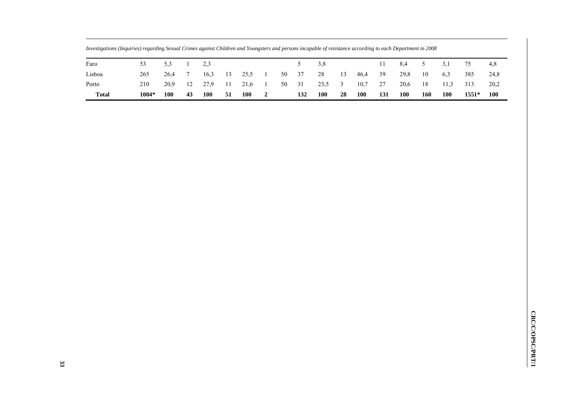| Faro         | 53    | 5.3        |    | 2.3        |      |            |                                      |    |     | 3.8        |      |            |      | 8,4        | 5 <sup>5</sup> | 3,1        | 75      | 4.8        |
|--------------|-------|------------|----|------------|------|------------|--------------------------------------|----|-----|------------|------|------------|------|------------|----------------|------------|---------|------------|
| Lisboa       | 265   | 26.4       |    | 16.3       | 13   | 25.5       | $\begin{array}{ccc} & 1 \end{array}$ | 50 | 37  | 28         | 13   | 46,4       | - 39 | 29,8       | 10             | 6.3        | 385     | 24,8       |
| Porto        | 210   | 20.9       | 12 | 27.9       | - 11 | 21,6       | $\sim$ 1                             | 50 | 31  | 23,5 3     |      | 10,7       | 27   | 20,6       | 18             | 11.3       | 313     | 20,2       |
| <b>Total</b> | 1004* | <b>100</b> | 43 | <b>100</b> | -51  | <b>100</b> | $\overline{\mathbf{2}}$              |    | 132 | <b>100</b> | - 28 | <b>100</b> | 131  | <b>100</b> | 160            | <b>100</b> | $1551*$ | <b>100</b> |

*Investigations (Inquiries) regarding Sexual Crimes against Children and Youngsters and persons incapable of resistance according to each Department in 2008*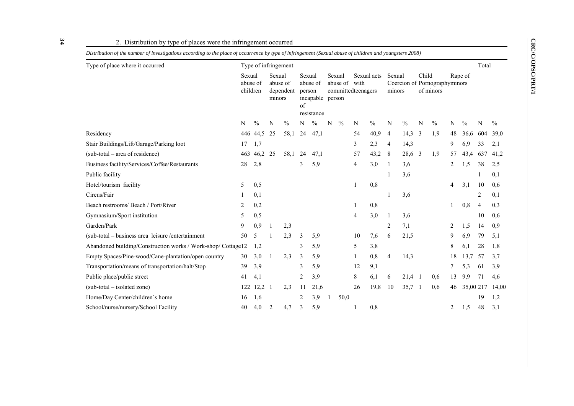CRC/C/OPSC/PRT/1 **CRC/C/OPSC/PRT/1**

| 2. Distribution by type of places were the infringement occurred<br>Distribution of the number of investigations according to the place of occurrence by type of infringement (Sexual abuse of children and youngsters 2008) |                                |               |                  |                       |                        |                                            |   |                    |                            |               |                  |               |       |                                            |    |               |       |               |
|------------------------------------------------------------------------------------------------------------------------------------------------------------------------------------------------------------------------------|--------------------------------|---------------|------------------|-----------------------|------------------------|--------------------------------------------|---|--------------------|----------------------------|---------------|------------------|---------------|-------|--------------------------------------------|----|---------------|-------|---------------|
| Type of place where it occurred                                                                                                                                                                                              |                                |               |                  | Type of infringement  |                        |                                            |   |                    |                            |               |                  |               |       |                                            |    |               | Total |               |
|                                                                                                                                                                                                                              | Sexual<br>abuse of<br>children |               | Sexual<br>minors | abuse of<br>dependent | Sexual<br>person<br>of | abuse of<br>incapable person<br>resistance |   | Sexual<br>abuse of | with<br>committedteenagers | Sexual acts   | Sexual<br>minors |               | Child | Coercion of Pornographyminors<br>of minors |    | Rape of       |       |               |
|                                                                                                                                                                                                                              | N                              | $\frac{0}{0}$ | N                | $\frac{0}{0}$         | N                      | $\frac{0}{0}$                              | N | $\frac{0}{0}$      | N                          | $\frac{0}{0}$ | N                | $\frac{0}{0}$ | N     | $\frac{0}{0}$                              | N  | $\frac{0}{0}$ | N     | $\frac{0}{0}$ |
| Residency                                                                                                                                                                                                                    |                                | 446 44,5      | -25              | 58,1                  | 24                     | 47,1                                       |   |                    | 54                         | 40,9          | 4                | 14,3          | 3     | 1,9                                        | 48 | 36,6          | 604   | 39,0          |
| Stair Buildings/Lift/Garage/Parking loot                                                                                                                                                                                     | 17                             | 1,7           |                  |                       |                        |                                            |   |                    | 3                          | 2,3           | 4                | 14,3          |       |                                            | 9  | 6,9           | 33    | 2,1           |
| (sub-total - area of residence)                                                                                                                                                                                              |                                | 463 46.2 25   |                  | 58,1                  | 24                     | 47,1                                       |   |                    | 57                         | 43,2          | 8                | 28,6          | 3     | 1,9                                        | 57 | 43,4          | 637   | 41,2          |
| Business facility/Services/Coffee/Restaurants                                                                                                                                                                                | 28                             | 2,8           |                  |                       | 3                      | 5,9                                        |   |                    | $\overline{4}$             | 3,0           |                  | 3,6           |       |                                            | 2  | 1,5           | 38    | 2,5           |
| Public facility                                                                                                                                                                                                              |                                |               |                  |                       |                        |                                            |   |                    |                            |               |                  | 3,6           |       |                                            |    |               |       | 0,1           |
| Hotel/tourism facility                                                                                                                                                                                                       | 5                              | 0,5           |                  |                       |                        |                                            |   |                    | 1                          | 0,8           |                  |               |       |                                            | 4  | 3,1           | 10    | 0,6           |
| Circus/Fair                                                                                                                                                                                                                  |                                | 0,1           |                  |                       |                        |                                            |   |                    |                            |               |                  | 3,6           |       |                                            |    |               | 2     | 0,1           |
| Beach restrooms/ Beach / Port/River                                                                                                                                                                                          | 2                              | 0,2           |                  |                       |                        |                                            |   |                    |                            | 0,8           |                  |               |       |                                            |    | 0,8           | 4     | 0,3           |
| Gymnasium/Sport institution                                                                                                                                                                                                  | 5                              | 0,5           |                  |                       |                        |                                            |   |                    | 4                          | 3,0           | 1                | 3,6           |       |                                            |    |               | 10    | 0,6           |
| Garden/Park                                                                                                                                                                                                                  | 9                              | 0,9           | -1               | 2,3                   |                        |                                            |   |                    |                            |               | 2                | 7,1           |       |                                            | 2  | 1,5           | 14    | 0,9           |
| (sub-total – business area leisure /entertainment                                                                                                                                                                            | 50                             | 5             |                  | 2,3                   | 3                      | 5,9                                        |   |                    | 10                         | 7,6           | 6                | 21,5          |       |                                            | 9  | 6,9           | 79    | 5,1           |
| Abandoned building/Construction works / Work-shop/ Cottage12                                                                                                                                                                 |                                | 1,2           |                  |                       | 3                      | 5,9                                        |   |                    | 5                          | 3,8           |                  |               |       |                                            | 8  | 6,1           | 28    | 1,8           |
| Empty Spaces/Pine-wood/Cane-plantation/open country                                                                                                                                                                          | 30                             | 3,0           | 1                | 2,3                   | 3                      | 5,9                                        |   |                    |                            | 0,8           | 4                | 14,3          |       |                                            | 18 | 13.7          | 57    | 3,7           |
| Transportation/means of transportation/halt/Stop                                                                                                                                                                             | 39                             | 3,9           |                  |                       | 3                      | 5,9                                        |   |                    | 12                         | 9,1           |                  |               |       |                                            | 7  | 5,3           | 61    | 3,9           |
| Public place/public street                                                                                                                                                                                                   | 41                             | 4,1           |                  |                       | 2                      | 3,9                                        |   |                    | 8                          | 6,1           | 6                | $21,4$ 1      |       | 0,6                                        | 13 | 9,9           | 71    | 4,6           |
| (sub-total – isolated zone)                                                                                                                                                                                                  | 122                            | 12,2          | $\overline{1}$   | 2,3                   | 11                     | 21,6                                       |   |                    | 26                         | 19,8          | 10               | $35,7$ 1      |       | 0,6                                        | 46 | 35,00 217     |       | 14,00         |
| Home/Day Center/children's home                                                                                                                                                                                              | 16                             | 1,6           |                  |                       | 2                      | 3,9                                        |   | 50,0               |                            |               |                  |               |       |                                            |    |               | 19    | 1,2           |

School/nurse/nursery/School Facility 40 4,0 2 4,7 3 5,9 1 0,8 2 1,5 48 3,1

#### 2. Distribution by type of places were the infringement occurred

**34**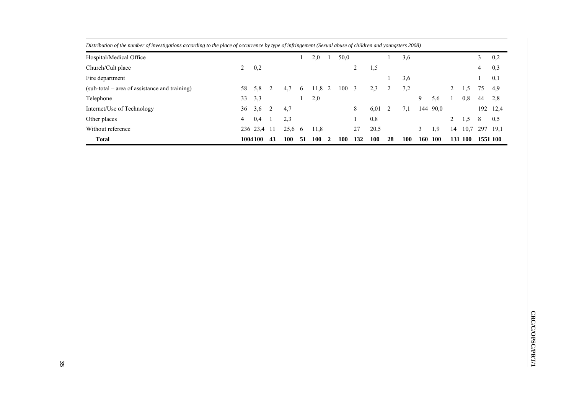| <b>Total</b>                                                                                                                                             |    | 1004100     | 43 | 100    | 51       | 100  | $\mathbf{2}$ | 100  | 132 | 100  | 28 | 100 | 160 | 100      | 131 | 100  | 1551 100 |          |
|----------------------------------------------------------------------------------------------------------------------------------------------------------|----|-------------|----|--------|----------|------|--------------|------|-----|------|----|-----|-----|----------|-----|------|----------|----------|
| Without reference                                                                                                                                        |    | 236 23,4 11 |    | 25,6 6 |          | 11,8 |              |      | 27  | 20,5 |    |     |     | 1.9      | 14  | 10.7 | 297      | 19,1     |
| Other places                                                                                                                                             | 4  | 0,4         |    | 2.3    |          |      |              |      |     | 0,8  |    |     |     |          |     | 1,5  | 8        | 0,5      |
| Internet/Use of Technology                                                                                                                               | 36 | 3,6         | 2  | 4,7    |          |      |              |      | 8   | 6,01 |    | 7.1 |     | 144 90,0 |     |      |          | 192 12,4 |
| Telephone                                                                                                                                                | 33 | 3.3         |    |        |          | 2,0  |              |      |     |      |    |     | 9   | 5,6      |     | 0,8  | 44       | 2,8      |
| $(sub-total - area of assistance and training)$                                                                                                          | 58 | 5,8         |    | 4.7    | $\sigma$ | 11,8 |              | 100  | - 3 | 2.3  |    | 7,2 |     |          | 2   | 1,5  | 75       | 4.9      |
| Fire department                                                                                                                                          |    |             |    |        |          |      |              |      |     |      |    | 3,6 |     |          |     |      |          | 0,1      |
| Church/Cult place                                                                                                                                        | 2  | 0,2         |    |        |          |      |              |      | 2   | 1,5  |    |     |     |          |     |      | 4        | 0,3      |
| Hospital/Medical Office                                                                                                                                  |    |             |    |        |          | 2,0  |              | 50,0 |     |      |    | 3,6 |     |          |     |      |          | 0,2      |
| Distribution of the number of investigations according to the place of occurrence by type of infringement (Sexual abuse of children and youngsters 2008) |    |             |    |        |          |      |              |      |     |      |    |     |     |          |     |      |          |          |

*Distribution of the number of investigations according to the place of occurrence by type of infringement (Sexual abuse of children and youngsters 2008)*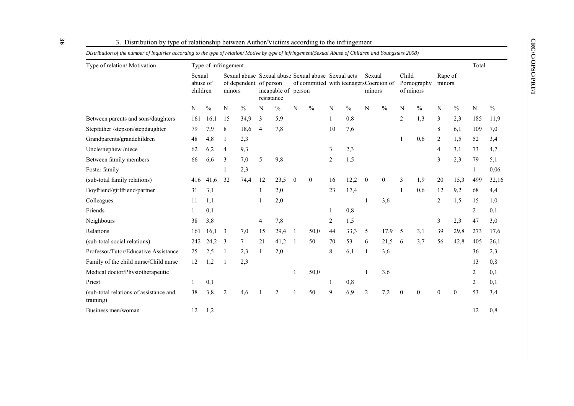| Type of relation/ Motivation                        |                                | Type of infringement |                |                        |                |                                   |              |                                                                                              |                |               |                  |               |                |                          |                   |               | Total          |               |
|-----------------------------------------------------|--------------------------------|----------------------|----------------|------------------------|----------------|-----------------------------------|--------------|----------------------------------------------------------------------------------------------|----------------|---------------|------------------|---------------|----------------|--------------------------|-------------------|---------------|----------------|---------------|
|                                                     | Sexual<br>abuse of<br>children |                      | minors         | of dependent of person |                | incapable of person<br>resistance |              | Sexual abuse Sexual abuse Sexual abuse Sexual acts<br>of committed with teenagersCoercion of |                |               | Sexual<br>minors |               | Child          | Pornography<br>of minors | Rape of<br>minors |               |                |               |
|                                                     | N                              | $\%$                 | N              | $\frac{0}{0}$          | N              | $\frac{0}{0}$                     | N            | $\frac{0}{0}$                                                                                | N              | $\frac{0}{0}$ | N                | $\frac{0}{0}$ | N              | $\frac{0}{0}$            | N                 | $\frac{0}{0}$ | N              | $\frac{0}{0}$ |
| Between parents and sons/daughters                  | 161                            | 16,1                 | 15             | 34,9                   | 3              | 5,9                               |              |                                                                                              |                | 0,8           |                  |               | $\overline{2}$ | 1,3                      | 3                 | 2,3           | 185            | 11,9          |
| Stepfather /stepson/stepdaughter                    | 79                             | 7,9                  | 8              | 18,6                   | $\overline{4}$ | 7,8                               |              |                                                                                              | 10             | 7,6           |                  |               |                |                          | 8                 | 6,1           | 109            | 7,0           |
| Grandparents/grandchildren                          | 48                             | 4,8                  |                | 2,3                    |                |                                   |              |                                                                                              |                |               |                  |               | 1              | 0,6                      | $\overline{2}$    | 1,5           | 52             | 3,4           |
| Uncle/nephew/niece                                  | 62                             | 6,2                  | $\overline{4}$ | 9,3                    |                |                                   |              |                                                                                              | 3              | 2,3           |                  |               |                |                          | 4                 | 3,1           | 73             | 4,7           |
| Between family members                              | 66                             | 6.6                  | 3              | 7,0                    | 5              | 9,8                               |              |                                                                                              | $\overline{2}$ | 1,5           |                  |               |                |                          | 3                 | 2,3           | 79             | 5,1           |
| Foster family                                       |                                |                      |                | 2,3                    |                |                                   |              |                                                                                              |                |               |                  |               |                |                          |                   |               |                | 0,06          |
| (sub-total family relations)                        | 416                            | 41,6                 | 32             | 74,4                   | 12             | 23,5                              | $\mathbf{0}$ | $\mathbf{0}$                                                                                 | 16             | 12,2          | $\boldsymbol{0}$ | $\theta$      | 3              | 1,9                      | 20                | 15,3          | 499            | 32,16         |
| Boyfriend/girlfriend/partner                        | 31                             | 3,1                  |                |                        | $\mathbf{1}$   | 2,0                               |              |                                                                                              | 23             | 17,4          |                  |               | 1              | 0,6                      | 12                | 9,2           | 68             | 4,4           |
| Colleagues                                          | 11                             | 1,1                  |                |                        |                | 2,0                               |              |                                                                                              |                |               |                  | 3.6           |                |                          | $\overline{2}$    | 1,5           | 15             | 1,0           |
| Friends                                             |                                | 0,1                  |                |                        |                |                                   |              |                                                                                              |                | 0,8           |                  |               |                |                          |                   |               | 2              | 0,1           |
| Neighbours                                          | 38                             | 3,8                  |                |                        | 4              | 7,8                               |              |                                                                                              | 2              | 1,5           |                  |               |                |                          | 3                 | 2,3           | 47             | 3,0           |
| Relations                                           | 161                            | 16,1                 | 3              | 7,0                    | 15             | 29,4                              | 1            | 50,0                                                                                         | 44             | 33,3          | 5                | 17,9          | $\overline{5}$ | 3,1                      | 39                | 29,8          | 273            | 17,6          |
| (sub-total social relations)                        | 242                            | 24,2                 | 3              | $\tau$                 | 21             | 41,2                              | 1            | 50                                                                                           | 70             | 53            | 6                | 21,5          | - 6            | 3.7                      | 56                | 42,8          | 405            | 26,1          |
| Professor/Tutor/Educative Assistance                | 25                             | 2,5                  | -1             | 2,3                    | 1              | 2,0                               |              |                                                                                              | 8              | 6,1           | 1                | 3,6           |                |                          |                   |               | 36             | 2,3           |
| Family of the child nurse/Child nurse               | 12                             | 1,2                  |                | 2,3                    |                |                                   |              |                                                                                              |                |               |                  |               |                |                          |                   |               | 13             | 0,8           |
| Medical doctor/Physiotherapeutic                    |                                |                      |                |                        |                |                                   |              | 50,0                                                                                         |                |               |                  | 3,6           |                |                          |                   |               | 2              | 0,1           |
| Priest                                              |                                | 0,1                  |                |                        |                |                                   |              |                                                                                              |                | 0,8           |                  |               |                |                          |                   |               | $\overline{2}$ | 0,1           |
| (sub-total relations of assistance and<br>training) | 38                             | 3,8                  | $\overline{2}$ | 4,6                    |                | 2                                 |              | 50                                                                                           | 9              | 6,9           | $\overline{c}$   | 7,2           | $\theta$       | $\theta$                 | $\theta$          | $\theta$      | 53             | 3,4           |
| Business men/woman                                  | 12                             | 1,2                  |                |                        |                |                                   |              |                                                                                              |                |               |                  |               |                |                          |                   |               | 12             | 0,8           |

3. Distribution by type of relationship between Author/Victims according to the infringement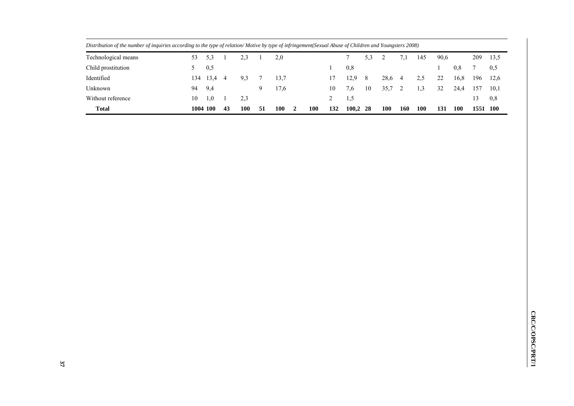| рыниятор да напост ој тупноз иссотанд го те гуре ој тешион топте оу гуре ој тупндетет ремаативао ој спиштен ини томпдаета 2000) |          |      |    |     |    |      |              |     |     |            |     |            |     |            |      |            |          |      |
|---------------------------------------------------------------------------------------------------------------------------------|----------|------|----|-----|----|------|--------------|-----|-----|------------|-----|------------|-----|------------|------|------------|----------|------|
| Technological means                                                                                                             | 53       | 5,3  |    | 2,3 |    | 2,0  |              |     |     |            | 5,3 |            | 7,1 | 145        | 90,6 |            | 209      | 13,5 |
| Child prostitution                                                                                                              |          | 0,5  |    |     |    |      |              |     |     | 0.8        |     |            |     |            |      | 0,8        |          | 0.5  |
| Identified                                                                                                                      | 134      | 13,4 | 4  | 9,3 |    | 13.7 |              |     |     | 12.9       | 8   | 28,6       | -4  | 2,5        | 22   | 16,8       | 196      | 12.6 |
| Unknown                                                                                                                         | 94       | 9,4  |    |     |    | 17.6 |              |     | 10  | 7,6        | 10  | 35.7       |     |            | 32   | 24,4       | 157      | 10,1 |
| Without reference                                                                                                               | 10       | 1,0  |    | 2.3 |    |      |              |     |     | 1,5        |     |            |     |            |      |            | 13       | 0,8  |
| <b>Total</b>                                                                                                                    | 1004 100 |      | 43 | 100 | 51 | 100  | <sup>2</sup> | 100 | 132 | $100,2$ 28 |     | <b>100</b> | 160 | <b>100</b> | 131  | <b>100</b> | 1551 100 |      |

*Distribution of the number of inquiries according to the type of relation/ Motive by type of infringement(Sexual Abuse of Children and Youngsters 2008)*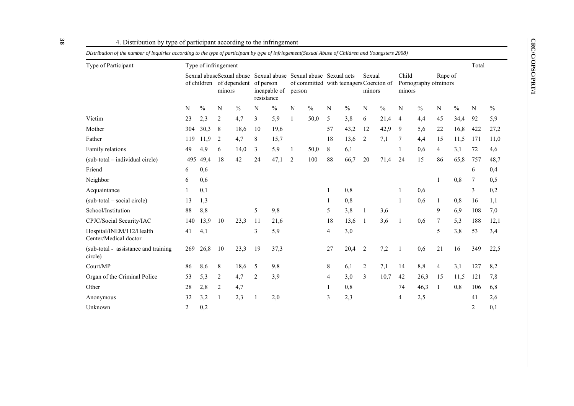CRC/C/OPSC/PRT/1 **CRC/C/OPSC/PRT/1**

| 4. Distribution by type of participant according to the infringement                                                                               |     |               |                                                                |               |                                         |               |                                                 |               |                                         |               |                  |      |                                         |               |                |               |       |               |
|----------------------------------------------------------------------------------------------------------------------------------------------------|-----|---------------|----------------------------------------------------------------|---------------|-----------------------------------------|---------------|-------------------------------------------------|---------------|-----------------------------------------|---------------|------------------|------|-----------------------------------------|---------------|----------------|---------------|-------|---------------|
| Distribution of the number of inquiries according to the type of participant by type of infringement(Sexual Abuse of Children and Youngsters 2008) |     |               |                                                                |               |                                         |               |                                                 |               |                                         |               |                  |      |                                         |               |                |               |       |               |
| Type of Participant                                                                                                                                |     |               | Type of infringement                                           |               |                                         |               |                                                 |               |                                         |               |                  |      |                                         |               |                |               | Total |               |
|                                                                                                                                                    |     |               | Sexual abuseSexual abuse<br>of children of dependent<br>minors |               | of person<br>incapable of<br>resistance |               | Sexual abuse Sexual abuse Sexual acts<br>person |               | of committed with teenagers Coercion of |               | Sexual<br>minors |      | Child<br>Pornography ofminors<br>minors |               | Rape of        |               |       |               |
|                                                                                                                                                    | N   | $\frac{0}{0}$ | N                                                              | $\frac{0}{0}$ | N                                       | $\frac{0}{0}$ | N                                               | $\frac{0}{0}$ | N                                       | $\frac{0}{0}$ | N                | $\%$ | N                                       | $\frac{0}{0}$ | N              | $\frac{0}{0}$ | N     | $\frac{0}{0}$ |
| Victim                                                                                                                                             | 23  | 2,3           | 2                                                              | 4,7           | 3                                       | 5,9           |                                                 | 50,0          | 5                                       | 3,8           | 6                | 21,4 | 4                                       | 4,4           | 45             | 34,4          | 92    | 5.9           |
| Mother                                                                                                                                             | 304 | 30,3          | 8                                                              | 18,6          | 10                                      | 19,6          |                                                 |               | 57                                      | 43,2          | 12               | 42,9 | 9                                       | 5,6           | 22             | 16,8          | 422   | 27,2          |
| Father                                                                                                                                             | 119 | 11.9          | 2                                                              | 4,7           | 8                                       | 15,7          |                                                 |               | 18                                      | 13,6          | 2                | 7,1  | 7                                       | 4,4           | 15             | 11,5          | 171   | 11,0          |
| Family relations                                                                                                                                   | 49  | 4.9           | 6                                                              | 14,0          | 3                                       | 5,9           | 1                                               | 50,0          | 8                                       | 6,1           |                  |      |                                         | 0,6           | $\overline{4}$ | 3,1           | 72    | 4,6           |
| (sub-total – individual circle)                                                                                                                    | 495 | 49,4          | 18                                                             | 42            | 24                                      | 47,1          | $\overline{2}$                                  | 100           | 88                                      | 66,7          | 20               | 71,4 | 24                                      | 15            | 86             | 65,8          | 757   | 48,7          |
| Friend                                                                                                                                             | 6   | 0,6           |                                                                |               |                                         |               |                                                 |               |                                         |               |                  |      |                                         |               |                |               | 6     | 0,4           |
| Neighbor                                                                                                                                           | 6   | 0,6           |                                                                |               |                                         |               |                                                 |               |                                         |               |                  |      |                                         |               |                | 0.8           |       | 0,5           |
| Acquaintance                                                                                                                                       |     | 0,1           |                                                                |               |                                         |               |                                                 |               |                                         | 0.8           |                  |      |                                         | 0.6           |                |               | 3     | 0,2           |
| (sub-total – social circle)                                                                                                                        | 13  | 1,3           |                                                                |               |                                         |               |                                                 |               |                                         | 0,8           |                  |      |                                         | 0.6           |                | 0.8           | 16    | 1,1           |
| School/Institution                                                                                                                                 | 88  | 8,8           |                                                                |               | 5                                       | 9,8           |                                                 |               | 5                                       | 3,8           | 1                | 3,6  |                                         |               | 9              | 6,9           | 108   | 7,0           |
| CPJC/Social Security/IAC                                                                                                                           | 140 | 13,9          | 10                                                             | 23,3          | 11                                      | 21,6          |                                                 |               | 18                                      | 13,6          | -1               | 3,6  |                                         | 0,6           | 7              | 5,3           | 188   | 12,1          |
| Hospital/INEM/112/Health<br>Center/Medical doctor                                                                                                  | 41  | 4,1           |                                                                |               | 3                                       | 5,9           |                                                 |               | $\overline{4}$                          | 3,0           |                  |      |                                         |               | 5              | 3,8           | 53    | 3,4           |
| (sub-total - assistance and training)<br>circle)                                                                                                   | 269 | 26,8          | 10                                                             | 23,3          | 19                                      | 37,3          |                                                 |               | 27                                      | 20,4          | 2                | 7,2  |                                         | 0.6           | 21             | 16            | 349   | 22,5          |

Court/MP 86 8,6 8 18,6 5 9,8 8 6,1 2 7,1 14 8,8 4 3,1 127 8,2 Organ of the Criminal Police 53 5,3 2 4,7 2 3,9 4 3,0 3 10,7 42 26,3 15 11,5 121 7,8 Other 28 2,8 2 4,7 1 0,8 2 4,7 2 1 0,8 2 46,3 1 0,8 106 6,8 Anonymous 32 3,2 1 2,3 1 2,0 3 2,3 4 2,5 41 2,6 Unknown 2  $0,2$   $0,3$ 

### 4. Distribution

**38**